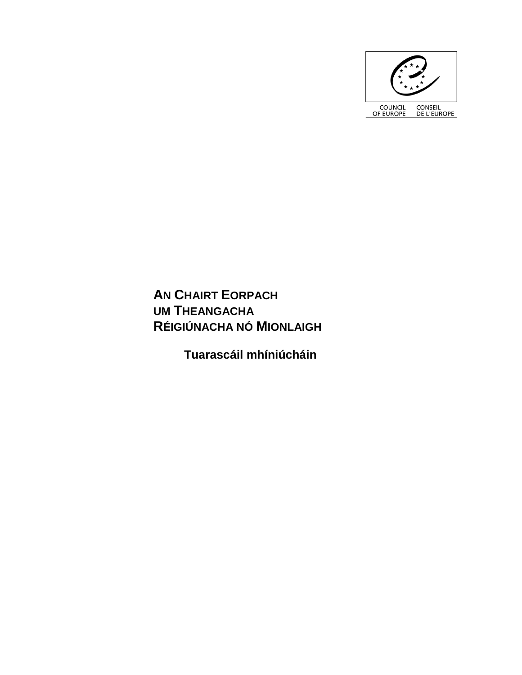

**AN CHAIRT EORPACH UM THEANGACHA RÉIGIÚNACHA NÓ MIONLAIGH**

**Tuarascáil mhíniúcháin**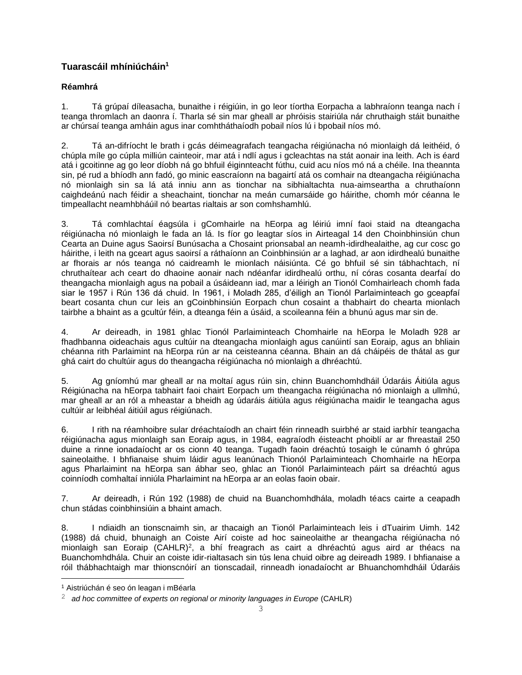# **Tuarascáil mhíniúcháin<sup>1</sup>**

# **Réamhrá**

1. Tá grúpaí díleasacha, bunaithe i réigiúin, in go leor tíortha Eorpacha a labhraíonn teanga nach í teanga thromlach an daonra í. Tharla sé sin mar gheall ar phróisis stairiúla nár chruthaigh stáit bunaithe ar chúrsaí teanga amháin agus inar comhtháthaíodh pobail níos lú i bpobail níos mó.

2. Tá an-difríocht le brath i gcás déimeagrafach teangacha réigiúnacha nó mionlaigh dá leithéid, ó chúpla míle go cúpla milliún cainteoir, mar atá i ndlí agus i gcleachtas na stát aonair ina leith. Ach is éard atá i gcoitinne ag go leor díobh ná go bhfuil éiginnteacht fúthu, cuid acu níos mó ná a chéile. Ina theannta sin, pé rud a bhíodh ann fadó, go minic eascraíonn na bagairtí atá os comhair na dteangacha réigiúnacha nó mionlaigh sin sa lá atá inniu ann as tionchar na sibhialtachta nua-aimseartha a chruthaíonn caighdeánú nach féidir a sheachaint, tionchar na meán cumarsáide go háirithe, chomh mór céanna le timpeallacht neamhbháúil nó beartas rialtais ar son comhshamhlú.

3. Tá comhlachtaí éagsúla i gComhairle na hEorpa ag léiriú imní faoi staid na dteangacha réigiúnacha nó mionlaigh le fada an lá. Is fíor go leagtar síos in Airteagal 14 den Choinbhinsiún chun Cearta an Duine agus Saoirsí Bunúsacha a Chosaint prionsabal an neamh-idirdhealaithe, ag cur cosc go háirithe, i leith na gceart agus saoirsí a ráthaíonn an Coinbhinsiún ar a laghad, ar aon idirdhealú bunaithe ar fhorais ar nós teanga nó caidreamh le mionlach náisiúnta. Cé go bhfuil sé sin tábhachtach, ní chruthaítear ach ceart do dhaoine aonair nach ndéanfar idirdhealú orthu, ní córas cosanta dearfaí do theangacha mionlaigh agus na pobail a úsáideann iad, mar a léirigh an Tionól Comhairleach chomh fada siar le 1957 i Rún 136 dá chuid. In 1961, i Moladh 285, d'éiligh an Tionól Parlaiminteach go gceapfaí beart cosanta chun cur leis an gCoinbhinsiún Eorpach chun cosaint a thabhairt do chearta mionlach tairbhe a bhaint as a gcultúr féin, a dteanga féin a úsáid, a scoileanna féin a bhunú agus mar sin de.

4. Ar deireadh, in 1981 ghlac Tionól Parlaiminteach Chomhairle na hEorpa le Moladh 928 ar fhadhbanna oideachais agus cultúir na dteangacha mionlaigh agus canúintí san Eoraip, agus an bhliain chéanna rith Parlaimint na hEorpa rún ar na ceisteanna céanna. Bhain an dá cháipéis de thátal as gur ghá cairt do chultúir agus do theangacha réigiúnacha nó mionlaigh a dhréachtú.

5. Ag gníomhú mar gheall ar na moltaí agus rúin sin, chinn Buanchomhdháil Údaráis Áitiúla agus Réigiúnacha na hEorpa tabhairt faoi chairt Eorpach um theangacha réigiúnacha nó mionlaigh a ullmhú, mar gheall ar an ról a mheastar a bheidh ag údaráis áitiúla agus réigiúnacha maidir le teangacha agus cultúir ar leibhéal áitiúil agus réigiúnach.

6. I rith na réamhoibre sular dréachtaíodh an chairt féin rinneadh suirbhé ar staid iarbhír teangacha réigiúnacha agus mionlaigh san Eoraip agus, in 1984, eagraíodh éisteacht phoiblí ar ar fhreastail 250 duine a rinne ionadaíocht ar os cionn 40 teanga. Tugadh faoin dréachtú tosaigh le cúnamh ó ghrúpa saineolaithe. I bhfianaise shuim láidir agus leanúnach Thionól Parlaiminteach Chomhairle na hEorpa agus Pharlaimint na hEorpa san ábhar seo, ghlac an Tionól Parlaiminteach páirt sa dréachtú agus coinníodh comhaltaí inniúla Pharlaimint na hEorpa ar an eolas faoin obair.

7. Ar deireadh, i Rún 192 (1988) de chuid na Buanchomhdhála, moladh téacs cairte a ceapadh chun stádas coinbhinsiúin a bhaint amach.

8. I ndiaidh an tionscnaimh sin, ar thacaigh an Tionól Parlaiminteach leis i dTuairim Uimh. 142 (1988) dá chuid, bhunaigh an Coiste Airí coiste ad hoc saineolaithe ar theangacha réigiúnacha nó mionlaigh san Eoraip (CAHLR)<sup>2</sup>, a bhí freagrach as cairt a dhréachtú agus aird ar théacs na Buanchomhdhála. Chuir an coiste idir-rialtasach sin tús lena chuid oibre ag deireadh 1989. I bhfianaise a róil thábhachtaigh mar thionscnóirí an tionscadail, rinneadh ionadaíocht ar Bhuanchomhdháil Údaráis

i<br>L

<sup>1</sup> Aistriúchán é seo ón leagan i mBéarla

<sup>2</sup> *ad hoc committee of experts on regional or minority languages in Europe* (CAHLR)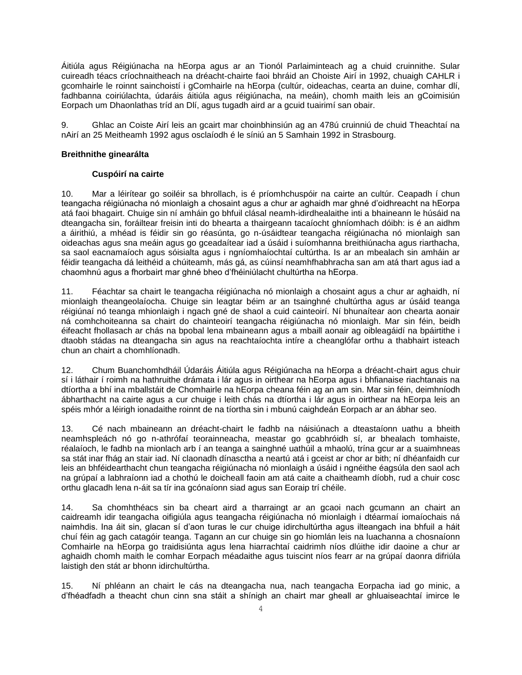Áitiúla agus Réigiúnacha na hEorpa agus ar an Tionól Parlaiminteach ag a chuid cruinnithe. Sular cuireadh téacs críochnaitheach na dréacht-chairte faoi bhráid an Choiste Airí in 1992, chuaigh CAHLR i gcomhairle le roinnt sainchoistí i gComhairle na hEorpa (cultúr, oideachas, cearta an duine, comhar dlí, fadhbanna coiriúlachta, údaráis áitiúla agus réigiúnacha, na meáin), chomh maith leis an gCoimisiún Eorpach um Dhaonlathas tríd an Dlí, agus tugadh aird ar a gcuid tuairimí san obair.

9. Ghlac an Coiste Airí leis an gcairt mar choinbhinsiún ag an 478ú cruinniú de chuid Theachtaí na nAirí an 25 Meitheamh 1992 agus osclaíodh é le síniú an 5 Samhain 1992 in Strasbourg.

# **Breithnithe ginearálta**

# **Cuspóirí na cairte**

10. Mar a léirítear go soiléir sa bhrollach, is é príomhchuspóir na cairte an cultúr. Ceapadh í chun teangacha réigiúnacha nó mionlaigh a chosaint agus a chur ar aghaidh mar ghné d'oidhreacht na hEorpa atá faoi bhagairt. Chuige sin ní amháin go bhfuil clásal neamh-idirdhealaithe inti a bhaineann le húsáid na dteangacha sin, foráiltear freisin inti do bhearta a thairgeann tacaíocht ghníomhach dóibh: is é an aidhm a áirithiú, a mhéad is féidir sin go réasúnta, go n-úsáidtear teangacha réigiúnacha nó mionlaigh san oideachas agus sna meáin agus go gceadaítear iad a úsáid i suíomhanna breithiúnacha agus riarthacha, sa saol eacnamaíoch agus sóisialta agus i ngníomhaíochtaí cultúrtha. Is ar an mbealach sin amháin ar féidir teangacha dá leithéid a chúiteamh, más gá, as cúinsí neamhfhabhracha san am atá thart agus iad a chaomhnú agus a fhorbairt mar ghné bheo d'fhéiniúlacht chultúrtha na hEorpa.

11. Féachtar sa chairt le teangacha réigiúnacha nó mionlaigh a chosaint agus a chur ar aghaidh, ní mionlaigh theangeolaíocha. Chuige sin leagtar béim ar an tsainghné chultúrtha agus ar úsáid teanga réigiúnaí nó teanga mhionlaigh i ngach gné de shaol a cuid cainteoirí. Ní bhunaítear aon chearta aonair ná comhchoiteanna sa chairt do chainteoirí teangacha réigiúnacha nó mionlaigh. Mar sin féin, beidh éifeacht fhollasach ar chás na bpobal lena mbaineann agus a mbaill aonair ag oibleagáidí na bpáirtithe i dtaobh stádas na dteangacha sin agus na reachtaíochta intíre a cheanglófar orthu a thabhairt isteach chun an chairt a chomhlíonadh.

12. Chum Buanchomhdháil Údaráis Áitiúla agus Réigiúnacha na hEorpa a dréacht-chairt agus chuir sí i láthair í roimh na hathruithe drámata i lár agus in oirthear na hEorpa agus i bhfianaise riachtanais na dtíortha a bhí ina mballstáit de Chomhairle na hEorpa cheana féin ag an am sin. Mar sin féin, deimhníodh ábharthacht na cairte agus a cur chuige i leith chás na dtíortha i lár agus in oirthear na hEorpa leis an spéis mhór a léirigh ionadaithe roinnt de na tíortha sin i mbunú caighdeán Eorpach ar an ábhar seo.

13. Cé nach mbaineann an dréacht-chairt le fadhb na náisiúnach a dteastaíonn uathu a bheith neamhspleách nó go n-athrófaí teorainneacha, meastar go gcabhróidh sí, ar bhealach tomhaiste, réalaíoch, le fadhb na mionlach arb í an teanga a sainghné uathúil a mhaolú, trína gcur ar a suaimhneas sa stát inar fhág an stair iad. Ní claonadh dínasctha a neartú atá i gceist ar chor ar bith; ní dhéanfaidh cur leis an bhféidearthacht chun teangacha réigiúnacha nó mionlaigh a úsáid i ngnéithe éagsúla den saol ach na grúpaí a labhraíonn iad a chothú le doicheall faoin am atá caite a chaitheamh díobh, rud a chuir cosc orthu glacadh lena n-áit sa tír ina gcónaíonn siad agus san Eoraip trí chéile.

14. Sa chomhthéacs sin ba cheart aird a tharraingt ar an gcaoi nach gcumann an chairt an caidreamh idir teangacha oifigiúla agus teangacha réigiúnacha nó mionlaigh i dtéarmaí iomaíochais ná naimhdis. Ina áit sin, glacan sí d'aon turas le cur chuige idirchultúrtha agus ilteangach ina bhfuil a háit chuí féin ag gach catagóir teanga. Tagann an cur chuige sin go hiomlán leis na luachanna a chosnaíonn Comhairle na hEorpa go traidisiúnta agus lena hiarrachtaí caidrimh níos dlúithe idir daoine a chur ar aghaidh chomh maith le comhar Eorpach méadaithe agus tuiscint níos fearr ar na grúpaí daonra difriúla laistigh den stát ar bhonn idirchultúrtha.

15. Ní phléann an chairt le cás na dteangacha nua, nach teangacha Eorpacha iad go minic, a d'fhéadfadh a theacht chun cinn sna stáit a shínigh an chairt mar gheall ar ghluaiseachtaí imirce le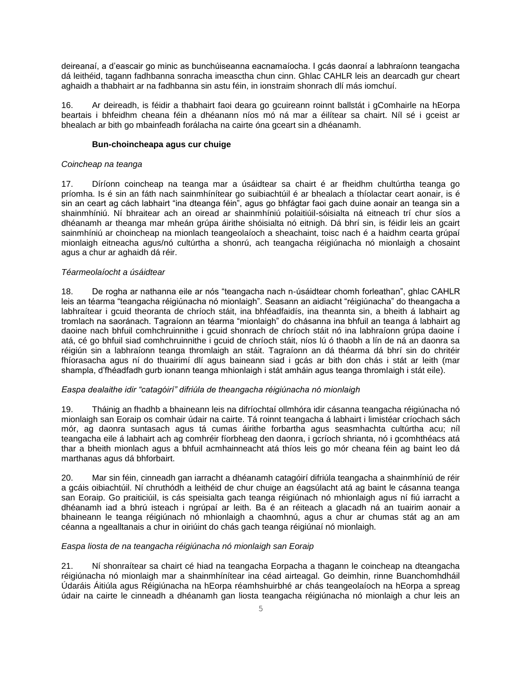deireanaí, a d'eascair go minic as bunchúiseanna eacnamaíocha. I gcás daonraí a labhraíonn teangacha dá leithéid, tagann fadhbanna sonracha imeasctha chun cinn. Ghlac CAHLR leis an dearcadh gur cheart aghaidh a thabhairt ar na fadhbanna sin astu féin, in ionstraim shonrach dlí más iomchuí.

16. Ar deireadh, is féidir a thabhairt faoi deara go gcuireann roinnt ballstát i gComhairle na hEorpa beartais i bhfeidhm cheana féin a dhéanann níos mó ná mar a éilítear sa chairt. Níl sé i gceist ar bhealach ar bith go mbainfeadh forálacha na cairte óna gceart sin a dhéanamh.

### **Bun-choincheapa agus cur chuige**

#### *Coincheap na teanga*

17. Díríonn coincheap na teanga mar a úsáidtear sa chairt é ar fheidhm chultúrtha teanga go príomha. Is é sin an fáth nach sainmhínítear go suibiachtúil é ar bhealach a thíolactar ceart aonair, is é sin an ceart ag cách labhairt "ina dteanga féin", agus go bhfágtar faoi gach duine aonair an teanga sin a shainmhíniú. Ní bhraitear ach an oiread ar shainmhíniú polaitiúil-sóisialta ná eitneach trí chur síos a dhéanamh ar theanga mar mheán grúpa áirithe shóisialta nó eitnigh. Dá bhrí sin, is féidir leis an gcairt sainmhíniú ar choincheap na mionlach teangeolaíoch a sheachaint, toisc nach é a haidhm cearta grúpaí mionlaigh eitneacha agus/nó cultúrtha a shonrú, ach teangacha réigiúnacha nó mionlaigh a chosaint agus a chur ar aghaidh dá réir.

### *Téarmeolaíocht a úsáidtear*

18. De rogha ar nathanna eile ar nós "teangacha nach n-úsáidtear chomh forleathan", ghlac CAHLR leis an téarma "teangacha réigiúnacha nó mionlaigh". Seasann an aidiacht "réigiúnacha" do theangacha a labhraítear i gcuid theoranta de chríoch stáit, ina bhféadfaidís, ina theannta sin, a bheith á labhairt ag tromlach na saoránach. Tagraíonn an téarma "mionlaigh" do chásanna ina bhfuil an teanga á labhairt ag daoine nach bhfuil comhchruinnithe i gcuid shonrach de chríoch stáit nó ina labhraíonn grúpa daoine í atá, cé go bhfuil siad comhchruinnithe i gcuid de chríoch stáit, níos lú ó thaobh a lín de ná an daonra sa réigiún sin a labhraíonn teanga thromlaigh an stáit. Tagraíonn an dá théarma dá bhrí sin do chritéir fhíorasacha agus ní do thuairimí dlí agus baineann siad i gcás ar bith don chás i stát ar leith (mar shampla, d'fhéadfadh gurb ionann teanga mhionlaigh i stát amháin agus teanga thromlaigh i stát eile).

### *Easpa dealaithe idir "catagóirí" difriúla de theangacha réigiúnacha nó mionlaigh*

19. Tháinig an fhadhb a bhaineann leis na difríochtaí ollmhóra idir cásanna teangacha réigiúnacha nó mionlaigh san Eoraip os comhair údair na cairte. Tá roinnt teangacha á labhairt i limistéar críochach sách mór, ag daonra suntasach agus tá cumas áirithe forbartha agus seasmhachta cultúrtha acu; níl teangacha eile á labhairt ach ag comhréir fíorbheag den daonra, i gcríoch shrianta, nó i gcomhthéacs atá thar a bheith mionlach agus a bhfuil acmhainneacht atá thíos leis go mór cheana féin ag baint leo dá marthanas agus dá bhforbairt.

20. Mar sin féin, cinneadh gan iarracht a dhéanamh catagóirí difriúla teangacha a shainmhíniú de réir a gcáis oibiachtúil. Ní chruthódh a leithéid de chur chuige an éagsúlacht atá ag baint le cásanna teanga san Eoraip. Go praiticiúil, is cás speisialta gach teanga réigiúnach nó mhionlaigh agus ní fiú iarracht a dhéanamh iad a bhrú isteach i ngrúpaí ar leith. Ba é an réiteach a glacadh ná an tuairim aonair a bhaineann le teanga réigiúnach nó mhionlaigh a chaomhnú, agus a chur ar chumas stát ag an am céanna a ngealltanais a chur in oiriúint do chás gach teanga réigiúnaí nó mionlaigh.

### *Easpa liosta de na teangacha réigiúnacha nó mionlaigh san Eoraip*

21. Ní shonraítear sa chairt cé hiad na teangacha Eorpacha a thagann le coincheap na dteangacha réigiúnacha nó mionlaigh mar a shainmhínítear ina céad airteagal. Go deimhin, rinne Buanchomhdháil Údaráis Áitiúla agus Réigiúnacha na hEorpa réamhshuirbhé ar chás teangeolaíoch na hEorpa a spreag údair na cairte le cinneadh a dhéanamh gan liosta teangacha réigiúnacha nó mionlaigh a chur leis an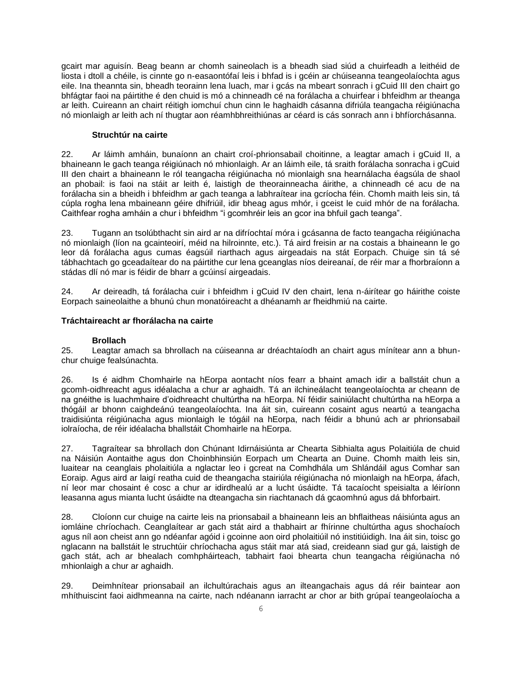gcairt mar aguisín. Beag beann ar chomh saineolach is a bheadh siad siúd a chuirfeadh a leithéid de liosta i dtoll a chéile, is cinnte go n-easaontófaí leis i bhfad is i gcéin ar chúiseanna teangeolaíochta agus eile. Ina theannta sin, bheadh teorainn lena luach, mar i gcás na mbeart sonrach i gCuid III den chairt go bhfágtar faoi na páirtithe é den chuid is mó a chinneadh cé na forálacha a chuirfear i bhfeidhm ar theanga ar leith. Cuireann an chairt réitigh iomchuí chun cinn le haghaidh cásanna difriúla teangacha réigiúnacha nó mionlaigh ar leith ach ní thugtar aon réamhbhreithiúnas ar céard is cás sonrach ann i bhfíorchásanna.

#### **Struchtúr na cairte**

22. Ar láimh amháin, bunaíonn an chairt croí-phrionsabail choitinne, a leagtar amach i gCuid II, a bhaineann le gach teanga réigiúnach nó mhionlaigh. Ar an láimh eile, tá sraith forálacha sonracha i gCuid III den chairt a bhaineann le ról teangacha réigiúnacha nó mionlaigh sna hearnálacha éagsúla de shaol an phobail: is faoi na stáit ar leith é, laistigh de theorainneacha áirithe, a chinneadh cé acu de na forálacha sin a bheidh i bhfeidhm ar gach teanga a labhraítear ina gcríocha féin. Chomh maith leis sin, tá cúpla rogha lena mbaineann géire dhifriúil, idir bheag agus mhór, i gceist le cuid mhór de na forálacha. Caithfear rogha amháin a chur i bhfeidhm "i gcomhréir leis an gcor ina bhfuil gach teanga".

23. Tugann an tsolúbthacht sin aird ar na difríochtaí móra i gcásanna de facto teangacha réigiúnacha nó mionlaigh (líon na gcainteoirí, méid na hilroinnte, etc.). Tá aird freisin ar na costais a bhaineann le go leor dá forálacha agus cumas éagsúil riarthach agus airgeadais na stát Eorpach. Chuige sin tá sé tábhachtach go gceadaítear do na páirtithe cur lena gceanglas níos deireanaí, de réir mar a fhorbraíonn a stádas dlí nó mar is féidir de bharr a gcúinsí airgeadais.

24. Ar deireadh, tá forálacha cuir i bhfeidhm i gCuid IV den chairt, lena n-áirítear go háirithe coiste Eorpach saineolaithe a bhunú chun monatóireacht a dhéanamh ar fheidhmiú na cairte.

### **Tráchtaireacht ar fhorálacha na cairte**

### **Brollach**

25. Leagtar amach sa bhrollach na cúiseanna ar dréachtaíodh an chairt agus mínítear ann a bhunchur chuige fealsúnachta.

26. Is é aidhm Chomhairle na hEorpa aontacht níos fearr a bhaint amach idir a ballstáit chun a gcomh-oidhreacht agus idéalacha a chur ar aghaidh. Tá an ilchineálacht teangeolaíochta ar cheann de na gnéithe is luachmhaire d'oidhreacht chultúrtha na hEorpa. Ní féidir sainiúlacht chultúrtha na hEorpa a thógáil ar bhonn caighdeánú teangeolaíochta. Ina áit sin, cuireann cosaint agus neartú a teangacha traidisiúnta réigiúnacha agus mionlaigh le tógáil na hEorpa, nach féidir a bhunú ach ar phrionsabail iolraíocha, de réir idéalacha bhallstáit Chomhairle na hEorpa.

27. Tagraítear sa bhrollach don Chúnant Idirnáisiúnta ar Chearta Sibhialta agus Polaitiúla de chuid na Náisiún Aontaithe agus don Choinbhinsiún Eorpach um Chearta an Duine. Chomh maith leis sin, luaitear na ceanglais pholaitiúla a nglactar leo i gcreat na Comhdhála um Shlándáil agus Comhar san Eoraip. Agus aird ar laigí reatha cuid de theangacha stairiúla réigiúnacha nó mionlaigh na hEorpa, áfach, ní leor mar chosaint é cosc a chur ar idirdhealú ar a lucht úsáidte. Tá tacaíocht speisialta a léiríonn leasanna agus mianta lucht úsáidte na dteangacha sin riachtanach dá gcaomhnú agus dá bhforbairt.

28. Cloíonn cur chuige na cairte leis na prionsabail a bhaineann leis an bhflaitheas náisiúnta agus an iomláine chríochach. Ceanglaítear ar gach stát aird a thabhairt ar fhírinne chultúrtha agus shochaíoch agus níl aon cheist ann go ndéanfar agóid i gcoinne aon oird pholaitiúil nó institiúidigh. Ina áit sin, toisc go nglacann na ballstáit le struchtúir chríochacha agus stáit mar atá siad, creideann siad gur gá, laistigh de gach stát, ach ar bhealach comhpháirteach, tabhairt faoi bhearta chun teangacha réigiúnacha nó mhionlaigh a chur ar aghaidh.

29. Deimhnítear prionsabail an ilchultúrachais agus an ilteangachais agus dá réir baintear aon mhíthuiscint faoi aidhmeanna na cairte, nach ndéanann iarracht ar chor ar bith grúpaí teangeolaíocha a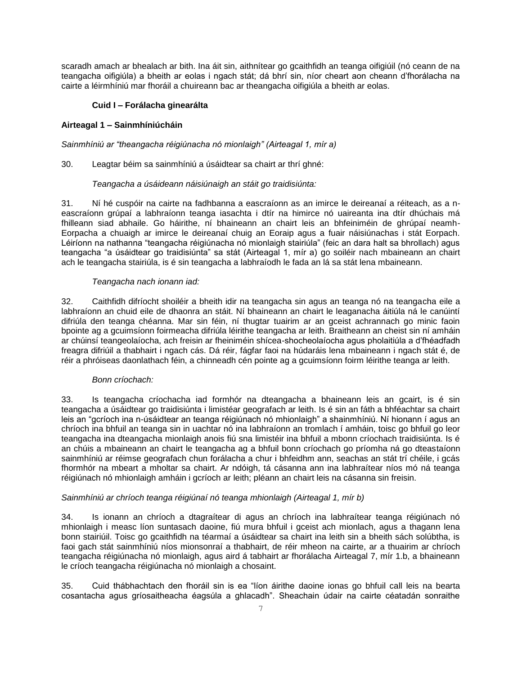scaradh amach ar bhealach ar bith. Ina áit sin, aithnítear go gcaithfidh an teanga oifigiúil (nó ceann de na teangacha oifigiúla) a bheith ar eolas i ngach stát; dá bhrí sin, níor cheart aon cheann d'fhorálacha na cairte a léirmhíniú mar fhoráil a chuireann bac ar theangacha oifigiúla a bheith ar eolas.

# **Cuid I – Forálacha ginearálta**

# **Airteagal 1 – Sainmhíniúcháin**

*Sainmhíniú ar "theangacha réigiúnacha nó mionlaigh" (Airteagal 1, mír a)*

### 30. Leagtar béim sa sainmhíniú a úsáidtear sa chairt ar thrí ghné:

# *Teangacha a úsáideann náisiúnaigh an stáit go traidisiúnta:*

31. Ní hé cuspóir na cairte na fadhbanna a eascraíonn as an imirce le deireanaí a réiteach, as a neascraíonn grúpaí a labhraíonn teanga iasachta i dtír na himirce nó uaireanta ina dtír dhúchais má fhilleann siad abhaile. Go háirithe, ní bhaineann an chairt leis an bhfeiniméin de ghrúpaí neamh-Eorpacha a chuaigh ar imirce le deireanaí chuig an Eoraip agus a fuair náisiúnachas i stát Eorpach. Léiríonn na nathanna "teangacha réigiúnacha nó mionlaigh stairiúla" (feic an dara halt sa bhrollach) agus teangacha "a úsáidtear go traidisiúnta" sa stát (Airteagal 1, mír a) go soiléir nach mbaineann an chairt ach le teangacha stairiúla, is é sin teangacha a labhraíodh le fada an lá sa stát lena mbaineann.

### *Teangacha nach ionann iad:*

32. Caithfidh difríocht shoiléir a bheith idir na teangacha sin agus an teanga nó na teangacha eile a labhraíonn an chuid eile de dhaonra an stáit. Ní bhaineann an chairt le leaganacha áitiúla ná le canúintí difriúla den teanga chéanna. Mar sin féin, ní thugtar tuairim ar an gceist achrannach go minic faoin bpointe ag a gcuimsíonn foirmeacha difriúla léirithe teangacha ar leith. Braitheann an cheist sin ní amháin ar chúinsí teangeolaíocha, ach freisin ar fheiniméin shícea-shocheolaíocha agus pholaitiúla a d'fhéadfadh freagra difriúil a thabhairt i ngach cás. Dá réir, fágfar faoi na húdaráis lena mbaineann i ngach stát é, de réir a phróiseas daonlathach féin, a chinneadh cén pointe ag a gcuimsíonn foirm léirithe teanga ar leith.

### *Bonn críochach:*

33. Is teangacha críochacha iad formhór na dteangacha a bhaineann leis an gcairt, is é sin teangacha a úsáidtear go traidisiúnta i limistéar geografach ar leith. Is é sin an fáth a bhféachtar sa chairt leis an "gcríoch ina n-úsáidtear an teanga réigiúnach nó mhionlaigh" a shainmhíniú. Ní hionann í agus an chríoch ina bhfuil an teanga sin in uachtar nó ina labhraíonn an tromlach í amháin, toisc go bhfuil go leor teangacha ina dteangacha mionlaigh anois fiú sna limistéir ina bhfuil a mbonn críochach traidisiúnta. Is é an chúis a mbaineann an chairt le teangacha ag a bhfuil bonn críochach go príomha ná go dteastaíonn sainmhíniú ar réimse geografach chun forálacha a chur i bhfeidhm ann, seachas an stát trí chéile, i gcás fhormhór na mbeart a mholtar sa chairt. Ar ndóigh, tá cásanna ann ina labhraítear níos mó ná teanga réigiúnach nó mhionlaigh amháin i gcríoch ar leith; pléann an chairt leis na cásanna sin freisin.

### *Sainmhíniú ar chríoch teanga réigiúnaí nó teanga mhionlaigh (Airteagal 1, mír b)*

34. Is ionann an chríoch a dtagraítear di agus an chríoch ina labhraítear teanga réigiúnach nó mhionlaigh i measc líon suntasach daoine, fiú mura bhfuil i gceist ach mionlach, agus a thagann lena bonn stairiúil. Toisc go gcaithfidh na téarmaí a úsáidtear sa chairt ina leith sin a bheith sách solúbtha, is faoi gach stát sainmhíniú níos mionsonraí a thabhairt, de réir mheon na cairte, ar a thuairim ar chríoch teangacha réigiúnacha nó mionlaigh, agus aird á tabhairt ar fhorálacha Airteagal 7, mír 1.b, a bhaineann le críoch teangacha réigiúnacha nó mionlaigh a chosaint.

35. Cuid thábhachtach den fhoráil sin is ea "líon áirithe daoine ionas go bhfuil call leis na bearta cosantacha agus gríosaitheacha éagsúla a ghlacadh". Sheachain údair na cairte céatadán sonraithe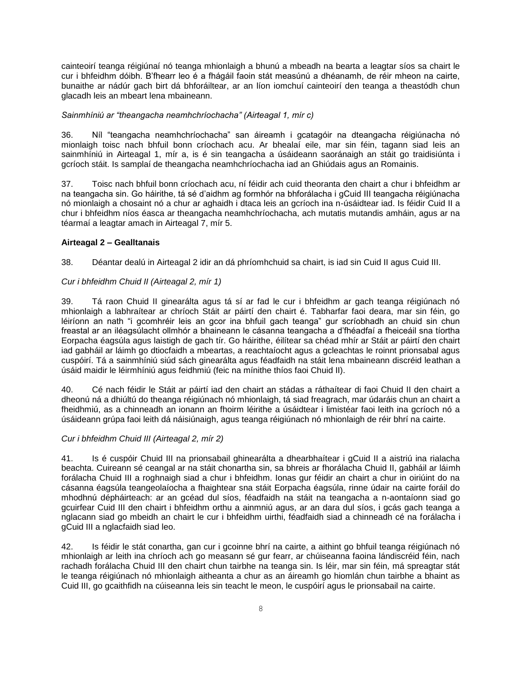cainteoirí teanga réigiúnaí nó teanga mhionlaigh a bhunú a mbeadh na bearta a leagtar síos sa chairt le cur i bhfeidhm dóibh. B'fhearr leo é a fhágáil faoin stát measúnú a dhéanamh, de réir mheon na cairte, bunaithe ar nádúr gach birt dá bhforáiltear, ar an líon iomchuí cainteoirí den teanga a theastódh chun glacadh leis an mbeart lena mbaineann.

### *Sainmhíniú ar "theangacha neamhchríochacha" (Airteagal 1, mír c)*

36. Níl "teangacha neamhchríochacha" san áireamh i gcatagóir na dteangacha réigiúnacha nó mionlaigh toisc nach bhfuil bonn críochach acu. Ar bhealaí eile, mar sin féin, tagann siad leis an sainmhíniú in Airteagal 1, mír a, is é sin teangacha a úsáideann saoránaigh an stáit go traidisiúnta i gcríoch stáit. Is samplaí de theangacha neamhchríochacha iad an Ghiúdais agus an Romainis.

37. Toisc nach bhfuil bonn críochach acu, ní féidir ach cuid theoranta den chairt a chur i bhfeidhm ar na teangacha sin. Go háirithe, tá sé d'aidhm ag formhór na bhforálacha i gCuid III teangacha réigiúnacha nó mionlaigh a chosaint nó a chur ar aghaidh i dtaca leis an gcríoch ina n-úsáidtear iad. Is féidir Cuid II a chur i bhfeidhm níos éasca ar theangacha neamhchríochacha, ach mutatis mutandis amháin, agus ar na téarmaí a leagtar amach in Airteagal 7, mír 5.

### **Airteagal 2 – Gealltanais**

38. Déantar dealú in Airteagal 2 idir an dá phríomhchuid sa chairt, is iad sin Cuid II agus Cuid III.

# *Cur i bhfeidhm Chuid II (Airteagal 2, mír 1)*

39. Tá raon Chuid II ginearálta agus tá sí ar fad le cur i bhfeidhm ar gach teanga réigiúnach nó mhionlaigh a labhraítear ar chríoch Stáit ar páirtí den chairt é. Tabharfar faoi deara, mar sin féin, go léiríonn an nath "i gcomhréir leis an gcor ina bhfuil gach teanga" gur scríobhadh an chuid sin chun freastal ar an iléagsúlacht ollmhór a bhaineann le cásanna teangacha a d'fhéadfaí a fheiceáil sna tíortha Eorpacha éagsúla agus laistigh de gach tír. Go háirithe, éilítear sa chéad mhír ar Stáit ar páirtí den chairt iad gabháil ar láimh go dtiocfaidh a mbeartas, a reachtaíocht agus a gcleachtas le roinnt prionsabal agus cuspóirí. Tá a sainmhíniú siúd sách ginearálta agus féadfaidh na stáit lena mbaineann discréid leathan a úsáid maidir le léirmhíniú agus feidhmiú (feic na mínithe thíos faoi Chuid II).

40. Cé nach féidir le Stáit ar páirtí iad den chairt an stádas a ráthaítear di faoi Chuid II den chairt a dheonú ná a dhiúltú do theanga réigiúnach nó mhionlaigh, tá siad freagrach, mar údaráis chun an chairt a fheidhmiú, as a chinneadh an ionann an fhoirm léirithe a úsáidtear i limistéar faoi leith ina gcríoch nó a úsáideann grúpa faoi leith dá náisiúnaigh, agus teanga réigiúnach nó mhionlaigh de réir bhrí na cairte.

### *Cur i bhfeidhm Chuid III (Airteagal 2, mír 2)*

41. Is é cuspóir Chuid III na prionsabail ghinearálta a dhearbhaítear i gCuid II a aistriú ina rialacha beachta. Cuireann sé ceangal ar na stáit chonartha sin, sa bhreis ar fhorálacha Chuid II, gabháil ar láimh forálacha Chuid III a roghnaigh siad a chur i bhfeidhm. Ionas gur féidir an chairt a chur in oiriúint do na cásanna éagsúla teangeolaíocha a fhaightear sna stáit Eorpacha éagsúla, rinne údair na cairte foráil do mhodhnú dépháirteach: ar an gcéad dul síos, féadfaidh na stáit na teangacha a n-aontaíonn siad go gcuirfear Cuid III den chairt i bhfeidhm orthu a ainmniú agus, ar an dara dul síos, i gcás gach teanga a nglacann siad go mbeidh an chairt le cur i bhfeidhm uirthi, féadfaidh siad a chinneadh cé na forálacha i gCuid III a nglacfaidh siad leo.

42. Is féidir le stát conartha, gan cur i gcoinne bhrí na cairte, a aithint go bhfuil teanga réigiúnach nó mhionlaigh ar leith ina chríoch ach go measann sé gur fearr, ar chúiseanna faoina lándiscréid féin, nach rachadh forálacha Chuid III den chairt chun tairbhe na teanga sin. Is léir, mar sin féin, má spreagtar stát le teanga réigiúnach nó mhionlaigh aitheanta a chur as an áireamh go hiomlán chun tairbhe a bhaint as Cuid III, go gcaithfidh na cúiseanna leis sin teacht le meon, le cuspóirí agus le prionsabail na cairte.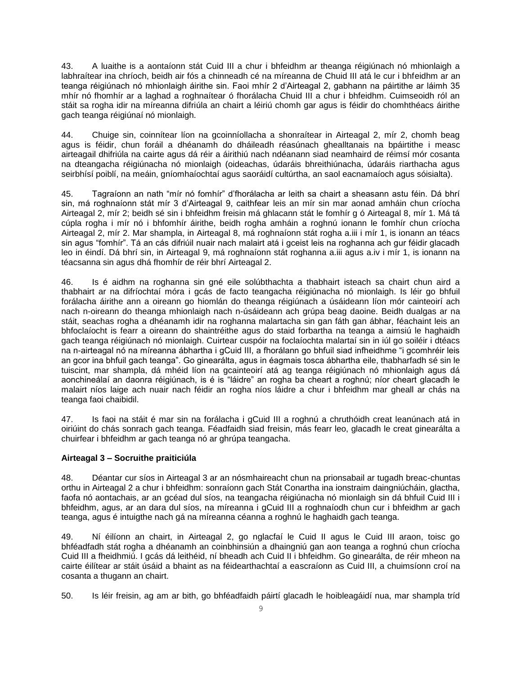43. A luaithe is a aontaíonn stát Cuid III a chur i bhfeidhm ar theanga réigiúnach nó mhionlaigh a labhraítear ina chríoch, beidh air fós a chinneadh cé na míreanna de Chuid III atá le cur i bhfeidhm ar an teanga réigiúnach nó mhionlaigh áirithe sin. Faoi mhír 2 d'Airteagal 2, gabhann na páirtithe ar láimh 35 mhír nó fhomhír ar a laghad a roghnaítear ó fhorálacha Chuid III a chur i bhfeidhm. Cuimseoidh ról an stáit sa rogha idir na míreanna difriúla an chairt a léiriú chomh gar agus is féidir do chomhthéacs áirithe gach teanga réigiúnaí nó mionlaigh.

44. Chuige sin, coinnítear líon na gcoinníollacha a shonraítear in Airteagal 2, mír 2, chomh beag agus is féidir, chun foráil a dhéanamh do dháileadh réasúnach ghealltanais na bpáirtithe i measc airteagail dhifriúla na cairte agus dá réir a áirithiú nach ndéanann siad neamhaird de réimsí mór cosanta na dteangacha réigiúnacha nó mionlaigh (oideachas, údaráis bhreithiúnacha, údaráis riarthacha agus seirbhísí poiblí, na meáin, gníomhaíochtaí agus saoráidí cultúrtha, an saol eacnamaíoch agus sóisialta).

45. Tagraíonn an nath "mír nó fomhír" d'fhorálacha ar leith sa chairt a sheasann astu féin. Dá bhrí sin, má roghnaíonn stát mír 3 d'Airteagal 9, caithfear leis an mír sin mar aonad amháin chun críocha Airteagal 2, mír 2; beidh sé sin i bhfeidhm freisin má ghlacann stát le fomhír g ó Airteagal 8, mír 1. Má tá cúpla rogha i mír nó i bhfomhír áirithe, beidh rogha amháin a roghnú ionann le fomhír chun críocha Airteagal 2, mír 2. Mar shampla, in Airteagal 8, má roghnaíonn stát rogha a.iii i mír 1, is ionann an téacs sin agus "fomhír". Tá an cás difriúil nuair nach malairt atá i gceist leis na roghanna ach gur féidir glacadh leo in éindí. Dá bhrí sin, in Airteagal 9, má roghnaíonn stát roghanna a.iii agus a.iv i mír 1, is ionann na téacsanna sin agus dhá fhomhír de réir bhrí Airteagal 2.

46. Is é aidhm na roghanna sin gné eile solúbthachta a thabhairt isteach sa chairt chun aird a thabhairt ar na difríochtaí móra i gcás de facto teangacha réigiúnacha nó mionlaigh. Is léir go bhfuil forálacha áirithe ann a oireann go hiomlán do theanga réigiúnach a úsáideann líon mór cainteoirí ach nach n-oireann do theanga mhionlaigh nach n-úsáideann ach grúpa beag daoine. Beidh dualgas ar na stáit, seachas rogha a dhéanamh idir na roghanna malartacha sin gan fáth gan ábhar, féachaint leis an bhfoclaíocht is fearr a oireann do shaintréithe agus do staid forbartha na teanga a aimsiú le haghaidh gach teanga réigiúnach nó mionlaigh. Cuirtear cuspóir na foclaíochta malartaí sin in iúl go soiléir i dtéacs na n-airteagal nó na míreanna ábhartha i gCuid III, a fhorálann go bhfuil siad infheidhme "i gcomhréir leis an gcor ina bhfuil gach teanga". Go ginearálta, agus in éagmais tosca ábhartha eile, thabharfadh sé sin le tuiscint, mar shampla, dá mhéid líon na gcainteoirí atá ag teanga réigiúnach nó mhionlaigh agus dá aonchineálaí an daonra réigiúnach, is é is "láidre" an rogha ba cheart a roghnú; níor cheart glacadh le malairt níos laige ach nuair nach féidir an rogha níos láidre a chur i bhfeidhm mar gheall ar chás na teanga faoi chaibidil.

47. Is faoi na stáit é mar sin na forálacha i gCuid III a roghnú a chruthóidh creat leanúnach atá in oiriúint do chás sonrach gach teanga. Féadfaidh siad freisin, más fearr leo, glacadh le creat ginearálta a chuirfear i bhfeidhm ar gach teanga nó ar ghrúpa teangacha.

### **Airteagal 3 – Socruithe praiticiúla**

48. Déantar cur síos in Airteagal 3 ar an nósmhaireacht chun na prionsabail ar tugadh breac-chuntas orthu in Airteagal 2 a chur i bhfeidhm: sonraíonn gach Stát Conartha ina ionstraim daingniúcháin, glactha, faofa nó aontachais, ar an gcéad dul síos, na teangacha réigiúnacha nó mionlaigh sin dá bhfuil Cuid III i bhfeidhm, agus, ar an dara dul síos, na míreanna i gCuid III a roghnaíodh chun cur i bhfeidhm ar gach teanga, agus é intuigthe nach gá na míreanna céanna a roghnú le haghaidh gach teanga.

49. Ní éilíonn an chairt, in Airteagal 2, go nglacfaí le Cuid II agus le Cuid III araon, toisc go bhféadfadh stát rogha a dhéanamh an coinbhinsiún a dhaingniú gan aon teanga a roghnú chun críocha Cuid III a fheidhmiú. I gcás dá leithéid, ní bheadh ach Cuid II i bhfeidhm. Go ginearálta, de réir mheon na cairte éilítear ar stáit úsáid a bhaint as na féidearthachtaí a eascraíonn as Cuid III, a chuimsíonn croí na cosanta a thugann an chairt.

50. Is léir freisin, ag am ar bith, go bhféadfaidh páirtí glacadh le hoibleagáidí nua, mar shampla tríd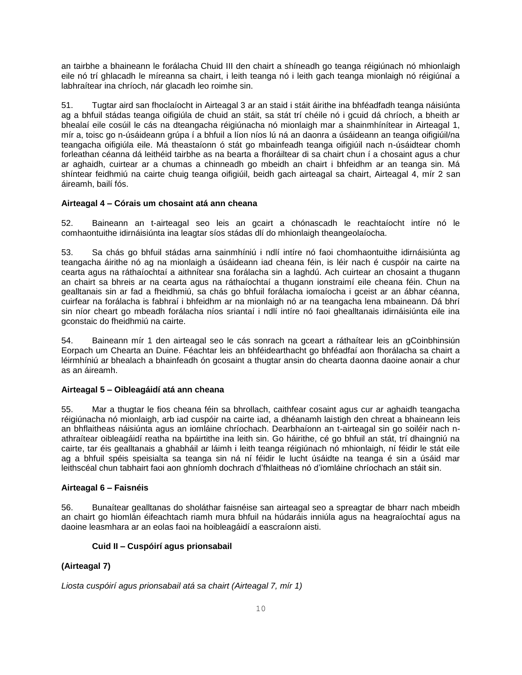an tairbhe a bhaineann le forálacha Chuid III den chairt a shíneadh go teanga réigiúnach nó mhionlaigh eile nó trí ghlacadh le míreanna sa chairt, i leith teanga nó i leith gach teanga mionlaigh nó réigiúnaí a labhraítear ina chríoch, nár glacadh leo roimhe sin.

51. Tugtar aird san fhoclaíocht in Airteagal 3 ar an staid i stáit áirithe ina bhféadfadh teanga náisiúnta ag a bhfuil stádas teanga oifigiúla de chuid an stáit, sa stát trí chéile nó i gcuid dá chríoch, a bheith ar bhealaí eile cosúil le cás na dteangacha réigiúnacha nó mionlaigh mar a shainmhínítear in Airteagal 1, mír a, toisc go n-úsáideann grúpa í a bhfuil a líon níos lú ná an daonra a úsáideann an teanga oifigiúil/na teangacha oifigiúla eile. Má theastaíonn ó stát go mbainfeadh teanga oifigiúil nach n-úsáidtear chomh forleathan céanna dá leithéid tairbhe as na bearta a fhoráiltear di sa chairt chun í a chosaint agus a chur ar aghaidh, cuirtear ar a chumas a chinneadh go mbeidh an chairt i bhfeidhm ar an teanga sin. Má shíntear feidhmiú na cairte chuig teanga oifigiúil, beidh gach airteagal sa chairt, Airteagal 4, mír 2 san áireamh, bailí fós.

### **Airteagal 4 – Córais um chosaint atá ann cheana**

52. Baineann an t-airteagal seo leis an gcairt a chónascadh le reachtaíocht intíre nó le comhaontuithe idirnáisiúnta ina leagtar síos stádas dlí do mhionlaigh theangeolaíocha.

53. Sa chás go bhfuil stádas arna sainmhíniú i ndlí intíre nó faoi chomhaontuithe idirnáisiúnta ag teangacha áirithe nó ag na mionlaigh a úsáideann iad cheana féin, is léir nach é cuspóir na cairte na cearta agus na ráthaíochtaí a aithnítear sna forálacha sin a laghdú. Ach cuirtear an chosaint a thugann an chairt sa bhreis ar na cearta agus na ráthaíochtaí a thugann ionstraimí eile cheana féin. Chun na gealltanais sin ar fad a fheidhmiú, sa chás go bhfuil forálacha iomaíocha i gceist ar an ábhar céanna, cuirfear na forálacha is fabhraí i bhfeidhm ar na mionlaigh nó ar na teangacha lena mbaineann. Dá bhrí sin níor cheart go mbeadh forálacha níos sriantaí i ndlí intíre nó faoi ghealltanais idirnáisiúnta eile ina gconstaic do fheidhmiú na cairte.

54. Baineann mír 1 den airteagal seo le cás sonrach na gceart a ráthaítear leis an gCoinbhinsiún Eorpach um Chearta an Duine. Féachtar leis an bhféidearthacht go bhféadfaí aon fhorálacha sa chairt a léirmhíniú ar bhealach a bhainfeadh ón gcosaint a thugtar ansin do chearta daonna daoine aonair a chur as an áireamh.

# **Airteagal 5 – Oibleagáidí atá ann cheana**

55. Mar a thugtar le fios cheana féin sa bhrollach, caithfear cosaint agus cur ar aghaidh teangacha réigiúnacha nó mionlaigh, arb iad cuspóir na cairte iad, a dhéanamh laistigh den chreat a bhaineann leis an bhflaitheas náisiúnta agus an iomláine chríochach. Dearbhaíonn an t-airteagal sin go soiléir nach nathraítear oibleagáidí reatha na bpáirtithe ina leith sin. Go háirithe, cé go bhfuil an stát, trí dhaingniú na cairte, tar éis gealltanais a ghabháil ar láimh i leith teanga réigiúnach nó mhionlaigh, ní féidir le stát eile ag a bhfuil spéis speisialta sa teanga sin ná ní féidir le lucht úsáidte na teanga é sin a úsáid mar leithscéal chun tabhairt faoi aon ghníomh dochrach d'fhlaitheas nó d'iomláine chríochach an stáit sin.

### **Airteagal 6 – Faisnéis**

56. Bunaítear gealltanas do sholáthar faisnéise san airteagal seo a spreagtar de bharr nach mbeidh an chairt go hiomlán éifeachtach riamh mura bhfuil na húdaráis inniúla agus na heagraíochtaí agus na daoine leasmhara ar an eolas faoi na hoibleagáidí a eascraíonn aisti.

# **Cuid II – Cuspóirí agus prionsabail**

# **(Airteagal 7)**

*Liosta cuspóirí agus prionsabail atá sa chairt (Airteagal 7, mír 1)*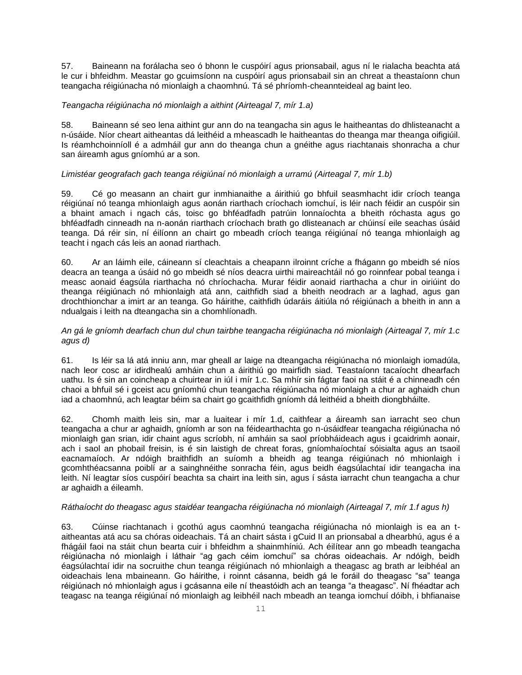57. Baineann na forálacha seo ó bhonn le cuspóirí agus prionsabail, agus ní le rialacha beachta atá le cur i bhfeidhm. Meastar go gcuimsíonn na cuspóirí agus prionsabail sin an chreat a theastaíonn chun teangacha réigiúnacha nó mionlaigh a chaomhnú. Tá sé phríomh-cheannteideal ag baint leo.

### *Teangacha réigiúnacha nó mionlaigh a aithint (Airteagal 7, mír 1.a)*

58. Baineann sé seo lena aithint gur ann do na teangacha sin agus le haitheantas do dhlisteanacht a n-úsáide. Níor cheart aitheantas dá leithéid a mheascadh le haitheantas do theanga mar theanga oifigiúil. Is réamhchoinníoll é a admháil gur ann do theanga chun a gnéithe agus riachtanais shonracha a chur san áireamh agus gníomhú ar a son.

# *Limistéar geografach gach teanga réigiúnaí nó mionlaigh a urramú (Airteagal 7, mír 1.b)*

59. Cé go measann an chairt gur inmhianaithe a áirithiú go bhfuil seasmhacht idir críoch teanga réigiúnaí nó teanga mhionlaigh agus aonán riarthach críochach iomchuí, is léir nach féidir an cuspóir sin a bhaint amach i ngach cás, toisc go bhféadfadh patrúin lonnaíochta a bheith róchasta agus go bhféadfadh cinneadh na n-aonán riarthach críochach brath go dlisteanach ar chúinsí eile seachas úsáid teanga. Dá réir sin, ní éilíonn an chairt go mbeadh críoch teanga réigiúnaí nó teanga mhionlaigh ag teacht i ngach cás leis an aonad riarthach.

60. Ar an láimh eile, cáineann sí cleachtais a cheapann ilroinnt críche a fhágann go mbeidh sé níos deacra an teanga a úsáid nó go mbeidh sé níos deacra uirthi maireachtáil nó go roinnfear pobal teanga i measc aonaid éagsúla riarthacha nó chríochacha. Murar féidir aonaid riarthacha a chur in oiriúint do theanga réigiúnach nó mhionlaigh atá ann, caithfidh siad a bheith neodrach ar a laghad, agus gan drochthionchar a imirt ar an teanga. Go háirithe, caithfidh údaráis áitiúla nó réigiúnach a bheith in ann a ndualgais i leith na dteangacha sin a chomhlíonadh.

### *An gá le gníomh dearfach chun dul chun tairbhe teangacha réigiúnacha nó mionlaigh (Airteagal 7, mír 1.c agus d)*

61. Is léir sa lá atá inniu ann, mar gheall ar laige na dteangacha réigiúnacha nó mionlaigh iomadúla, nach leor cosc ar idirdhealú amháin chun a áirithiú go mairfidh siad. Teastaíonn tacaíocht dhearfach uathu. Is é sin an coincheap a chuirtear in iúl i mír 1.c. Sa mhír sin fágtar faoi na stáit é a chinneadh cén chaoi a bhfuil sé i gceist acu gníomhú chun teangacha réigiúnacha nó mionlaigh a chur ar aghaidh chun iad a chaomhnú, ach leagtar béim sa chairt go gcaithfidh gníomh dá leithéid a bheith diongbháilte.

62. Chomh maith leis sin, mar a luaitear i mír 1.d, caithfear a áireamh san iarracht seo chun teangacha a chur ar aghaidh, gníomh ar son na féidearthachta go n-úsáidfear teangacha réigiúnacha nó mionlaigh gan srian, idir chaint agus scríobh, ní amháin sa saol príobháideach agus i gcaidrimh aonair, ach i saol an phobail freisin, is é sin laistigh de chreat foras, gníomhaíochtaí sóisialta agus an tsaoil eacnamaíoch. Ar ndóigh braithfidh an suíomh a bheidh ag teanga réigiúnach nó mhionlaigh i gcomhthéacsanna poiblí ar a sainghnéithe sonracha féin, agus beidh éagsúlachtaí idir teangacha ina leith. Ní leagtar síos cuspóirí beachta sa chairt ina leith sin, agus í sásta iarracht chun teangacha a chur ar aghaidh a éileamh.

### *Ráthaíocht do theagasc agus staidéar teangacha réigiúnacha nó mionlaigh (Airteagal 7, mír 1.f agus h)*

63. Cúinse riachtanach i gcothú agus caomhnú teangacha réigiúnacha nó mionlaigh is ea an taitheantas atá acu sa chóras oideachais. Tá an chairt sásta i gCuid II an prionsabal a dhearbhú, agus é a fhágáil faoi na stáit chun bearta cuir i bhfeidhm a shainmhíniú. Ach éilítear ann go mbeadh teangacha réigiúnacha nó mionlaigh i láthair "ag gach céim iomchuí" sa chóras oideachais. Ar ndóigh, beidh éagsúlachtaí idir na socruithe chun teanga réigiúnach nó mhionlaigh a theagasc ag brath ar leibhéal an oideachais lena mbaineann. Go háirithe, i roinnt cásanna, beidh gá le foráil do theagasc "sa" teanga réigiúnach nó mhionlaigh agus i gcásanna eile ní theastóidh ach an teanga "a theagasc". Ní fhéadtar ach teagasc na teanga réigiúnaí nó mionlaigh ag leibhéil nach mbeadh an teanga iomchuí dóibh, i bhfianaise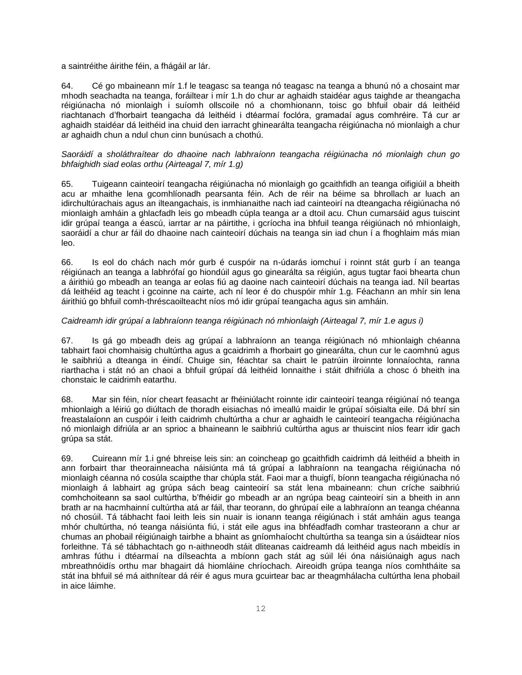a saintréithe áirithe féin, a fhágáil ar lár.

64. Cé go mbaineann mír 1.f le teagasc sa teanga nó teagasc na teanga a bhunú nó a chosaint mar mhodh seachadta na teanga, foráiltear i mír 1.h do chur ar aghaidh staidéar agus taighde ar theangacha réigiúnacha nó mionlaigh i suíomh ollscoile nó a chomhionann, toisc go bhfuil obair dá leithéid riachtanach d'fhorbairt teangacha dá leithéid i dtéarmaí foclóra, gramadaí agus comhréire. Tá cur ar aghaidh staidéar dá leithéid ina chuid den iarracht ghinearálta teangacha réigiúnacha nó mionlaigh a chur ar aghaidh chun a ndul chun cinn bunúsach a chothú.

#### *Saoráidí a sholáthraítear do dhaoine nach labhraíonn teangacha réigiúnacha nó mionlaigh chun go bhfaighidh siad eolas orthu (Airteagal 7, mír 1.g)*

65. Tuigeann cainteoirí teangacha réigiúnacha nó mionlaigh go gcaithfidh an teanga oifigiúil a bheith acu ar mhaithe lena gcomhlíonadh pearsanta féin. Ach de réir na béime sa bhrollach ar luach an idirchultúrachais agus an ilteangachais, is inmhianaithe nach iad cainteoirí na dteangacha réigiúnacha nó mionlaigh amháin a ghlacfadh leis go mbeadh cúpla teanga ar a dtoil acu. Chun cumarsáid agus tuiscint idir grúpaí teanga a éascú, iarrtar ar na páirtithe, i gcríocha ina bhfuil teanga réigiúnach nó mhionlaigh, saoráidí a chur ar fáil do dhaoine nach cainteoirí dúchais na teanga sin iad chun í a fhoghlaim más mian leo.

66. Is eol do chách nach mór gurb é cuspóir na n-údarás iomchuí i roinnt stát gurb í an teanga réigiúnach an teanga a labhrófaí go hiondúil agus go ginearálta sa réigiún, agus tugtar faoi bhearta chun a áirithiú go mbeadh an teanga ar eolas fiú ag daoine nach cainteoirí dúchais na teanga iad. Níl beartas dá leithéid ag teacht i gcoinne na cairte, ach ní leor é do chuspóir mhír 1.g. Féachann an mhír sin lena áirithiú go bhfuil comh-thréscaoilteacht níos mó idir grúpaí teangacha agus sin amháin.

### *Caidreamh idir grúpaí a labhraíonn teanga réigiúnach nó mhionlaigh (Airteagal 7, mír 1.e agus i)*

67. Is gá go mbeadh deis ag grúpaí a labhraíonn an teanga réigiúnach nó mhionlaigh chéanna tabhairt faoi chomhaisig chultúrtha agus a gcaidrimh a fhorbairt go ginearálta, chun cur le caomhnú agus le saibhriú a dteanga in éindí. Chuige sin, féachtar sa chairt le patrúin ilroinnte lonnaíochta, ranna riarthacha i stát nó an chaoi a bhfuil grúpaí dá leithéid lonnaithe i stáit dhifriúla a chosc ó bheith ina chonstaic le caidrimh eatarthu.

68. Mar sin féin, níor cheart feasacht ar fhéiniúlacht roinnte idir cainteoirí teanga réigiúnaí nó teanga mhionlaigh a léiriú go diúltach de thoradh eisiachas nó imeallú maidir le grúpaí sóisialta eile. Dá bhrí sin freastalaíonn an cuspóir i leith caidrimh chultúrtha a chur ar aghaidh le cainteoirí teangacha réigiúnacha nó mionlaigh difriúla ar an sprioc a bhaineann le saibhriú cultúrtha agus ar thuiscint níos fearr idir gach grúpa sa stát.

69. Cuireann mír 1.i gné bhreise leis sin: an coincheap go gcaithfidh caidrimh dá leithéid a bheith in ann forbairt thar theorainneacha náisiúnta má tá grúpaí a labhraíonn na teangacha réigiúnacha nó mionlaigh céanna nó cosúla scaipthe thar chúpla stát. Faoi mar a thuigfí, bíonn teangacha réigiúnacha nó mionlaigh á labhairt ag grúpa sách beag cainteoirí sa stát lena mbaineann: chun críche saibhriú comhchoiteann sa saol cultúrtha, b'fhéidir go mbeadh ar an ngrúpa beag cainteoirí sin a bheith in ann brath ar na hacmhainní cultúrtha atá ar fáil, thar teorann, do ghrúpaí eile a labhraíonn an teanga chéanna nó chosúil. Tá tábhacht faoi leith leis sin nuair is ionann teanga réigiúnach i stát amháin agus teanga mhór chultúrtha, nó teanga náisiúnta fiú, i stát eile agus ina bhféadfadh comhar trasteorann a chur ar chumas an phobail réigiúnaigh tairbhe a bhaint as gníomhaíocht chultúrtha sa teanga sin a úsáidtear níos forleithne. Tá sé tábhachtach go n-aithneodh stáit dliteanas caidreamh dá leithéid agus nach mbeidís in amhras fúthu i dtéarmaí na dílseachta a mbíonn gach stát ag súil léi óna náisiúnaigh agus nach mbreathnóidís orthu mar bhagairt dá hiomláine chríochach. Aireoidh grúpa teanga níos comhtháite sa stát ina bhfuil sé má aithnítear dá réir é agus mura gcuirtear bac ar theagmhálacha cultúrtha lena phobail in aice láimhe.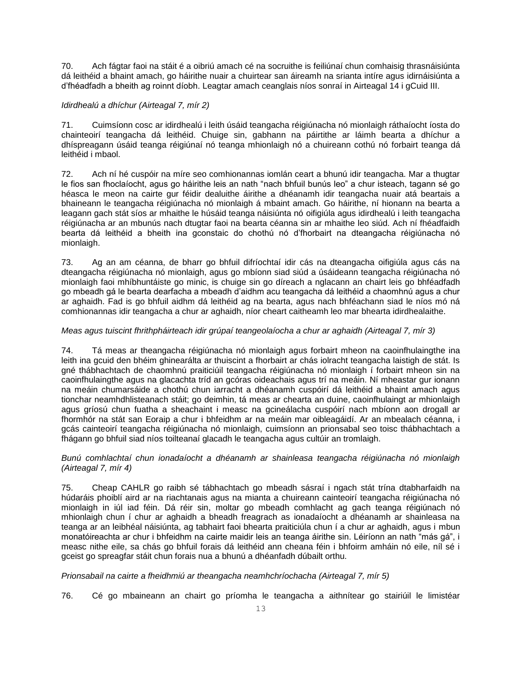70. Ach fágtar faoi na stáit é a oibriú amach cé na socruithe is feiliúnaí chun comhaisig thrasnáisiúnta dá leithéid a bhaint amach, go háirithe nuair a chuirtear san áireamh na srianta intíre agus idirnáisiúnta a d'fhéadfadh a bheith ag roinnt díobh. Leagtar amach ceanglais níos sonraí in Airteagal 14 i gCuid III.

### *Idirdhealú a dhíchur (Airteagal 7, mír 2)*

71. Cuimsíonn cosc ar idirdhealú i leith úsáid teangacha réigiúnacha nó mionlaigh ráthaíocht íosta do chainteoirí teangacha dá leithéid. Chuige sin, gabhann na páirtithe ar láimh bearta a dhíchur a dhíspreagann úsáid teanga réigiúnaí nó teanga mhionlaigh nó a chuireann cothú nó forbairt teanga dá leithéid i mbaol.

72. Ach ní hé cuspóir na míre seo comhionannas iomlán ceart a bhunú idir teangacha. Mar a thugtar le fios san fhoclaíocht, agus go háirithe leis an nath "nach bhfuil bunús leo" a chur isteach, tagann sé go héasca le meon na cairte gur féidir dealuithe áirithe a dhéanamh idir teangacha nuair atá beartais a bhaineann le teangacha réigiúnacha nó mionlaigh á mbaint amach. Go háirithe, ní hionann na bearta a leagann gach stát síos ar mhaithe le húsáid teanga náisiúnta nó oifigiúla agus idirdhealú i leith teangacha réigiúnacha ar an mbunús nach dtugtar faoi na bearta céanna sin ar mhaithe leo siúd. Ach ní fhéadfaidh bearta dá leithéid a bheith ina gconstaic do chothú nó d'fhorbairt na dteangacha réigiúnacha nó mionlaigh.

73. Ag an am céanna, de bharr go bhfuil difríochtaí idir cás na dteangacha oifigiúla agus cás na dteangacha réigiúnacha nó mionlaigh, agus go mbíonn siad siúd a úsáideann teangacha réigiúnacha nó mionlaigh faoi mhíbhuntáiste go minic, is chuige sin go díreach a nglacann an chairt leis go bhféadfadh go mbeadh gá le bearta dearfacha a mbeadh d'aidhm acu teangacha dá leithéid a chaomhnú agus a chur ar aghaidh. Fad is go bhfuil aidhm dá leithéid ag na bearta, agus nach bhféachann siad le níos mó ná comhionannas idir teangacha a chur ar aghaidh, níor cheart caitheamh leo mar bhearta idirdhealaithe.

# *Meas agus tuiscint fhrithpháirteach idir grúpaí teangeolaíocha a chur ar aghaidh (Airteagal 7, mír 3)*

74. Tá meas ar theangacha réigiúnacha nó mionlaigh agus forbairt mheon na caoinfhulaingthe ina leith ina gcuid den bhéim ghinearálta ar thuiscint a fhorbairt ar chás iolracht teangacha laistigh de stát. Is gné thábhachtach de chaomhnú praiticiúil teangacha réigiúnacha nó mionlaigh í forbairt mheon sin na caoinfhulaingthe agus na glacachta tríd an gcóras oideachais agus trí na meáin. Ní mheastar gur ionann na meáin chumarsáide a chothú chun iarracht a dhéanamh cuspóirí dá leithéid a bhaint amach agus tionchar neamhdhlisteanach stáit; go deimhin, tá meas ar chearta an duine, caoinfhulaingt ar mhionlaigh agus gríosú chun fuatha a sheachaint i measc na gcineálacha cuspóirí nach mbíonn aon drogall ar fhormhór na stát san Eoraip a chur i bhfeidhm ar na meáin mar oibleagáidí. Ar an mbealach céanna, i gcás cainteoirí teangacha réigiúnacha nó mionlaigh, cuimsíonn an prionsabal seo toisc thábhachtach a fhágann go bhfuil siad níos toilteanaí glacadh le teangacha agus cultúir an tromlaigh.

### *Bunú comhlachtaí chun ionadaíocht a dhéanamh ar shainleasa teangacha réigiúnacha nó mionlaigh (Airteagal 7, mír 4)*

75. Cheap CAHLR go raibh sé tábhachtach go mbeadh sásraí i ngach stát trína dtabharfaidh na húdaráis phoiblí aird ar na riachtanais agus na mianta a chuireann cainteoirí teangacha réigiúnacha nó mionlaigh in iúl iad féin. Dá réir sin, moltar go mbeadh comhlacht ag gach teanga réigiúnach nó mhionlaigh chun í chur ar aghaidh a bheadh freagrach as ionadaíocht a dhéanamh ar shainleasa na teanga ar an leibhéal náisiúnta, ag tabhairt faoi bhearta praiticiúla chun í a chur ar aghaidh, agus i mbun monatóireachta ar chur i bhfeidhm na cairte maidir leis an teanga áirithe sin. Léiríonn an nath "más gá", i measc nithe eile, sa chás go bhfuil forais dá leithéid ann cheana féin i bhfoirm amháin nó eile, níl sé i gceist go spreagfar stáit chun forais nua a bhunú a dhéanfadh dúbailt orthu.

### *Prionsabail na cairte a fheidhmiú ar theangacha neamhchríochacha (Airteagal 7, mír 5)*

76. Cé go mbaineann an chairt go príomha le teangacha a aithnítear go stairiúil le limistéar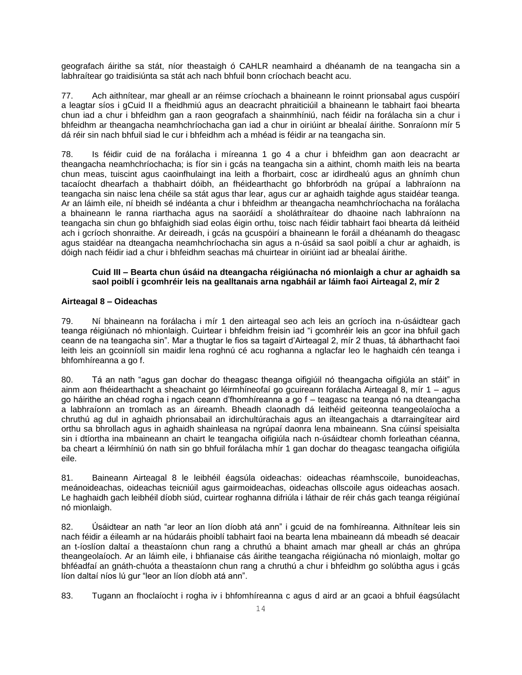geografach áirithe sa stát, níor theastaigh ó CAHLR neamhaird a dhéanamh de na teangacha sin a labhraítear go traidisiúnta sa stát ach nach bhfuil bonn críochach beacht acu.

77. Ach aithnítear, mar gheall ar an réimse críochach a bhaineann le roinnt prionsabal agus cuspóirí a leagtar síos i gCuid II a fheidhmiú agus an deacracht phraiticiúil a bhaineann le tabhairt faoi bhearta chun iad a chur i bhfeidhm gan a raon geografach a shainmhíniú, nach féidir na forálacha sin a chur i bhfeidhm ar theangacha neamhchríochacha gan iad a chur in oiriúint ar bhealaí áirithe. Sonraíonn mír 5 dá réir sin nach bhfuil siad le cur i bhfeidhm ach a mhéad is féidir ar na teangacha sin.

78. Is féidir cuid de na forálacha i míreanna 1 go 4 a chur i bhfeidhm gan aon deacracht ar theangacha neamhchríochacha; is fíor sin i gcás na teangacha sin a aithint, chomh maith leis na bearta chun meas, tuiscint agus caoinfhulaingt ina leith a fhorbairt, cosc ar idirdhealú agus an ghnímh chun tacaíocht dhearfach a thabhairt dóibh, an fhéidearthacht go bhforbródh na grúpaí a labhraíonn na teangacha sin naisc lena chéile sa stát agus thar lear, agus cur ar aghaidh taighde agus staidéar teanga. Ar an láimh eile, ní bheidh sé indéanta a chur i bhfeidhm ar theangacha neamhchríochacha na forálacha a bhaineann le ranna riarthacha agus na saoráidí a sholáthraítear do dhaoine nach labhraíonn na teangacha sin chun go bhfaighidh siad eolas éigin orthu, toisc nach féidir tabhairt faoi bhearta dá leithéid ach i gcríoch shonraithe. Ar deireadh, i gcás na gcuspóirí a bhaineann le foráil a dhéanamh do theagasc agus staidéar na dteangacha neamhchríochacha sin agus a n-úsáid sa saol poiblí a chur ar aghaidh, is dóigh nach féidir iad a chur i bhfeidhm seachas má chuirtear in oiriúint iad ar bhealaí áirithe.

### **Cuid III – Bearta chun úsáid na dteangacha réigiúnacha nó mionlaigh a chur ar aghaidh sa saol poiblí i gcomhréir leis na gealltanais arna ngabháil ar láimh faoi Airteagal 2, mír 2**

### **Airteagal 8 – Oideachas**

79. Ní bhaineann na forálacha i mír 1 den airteagal seo ach leis an gcríoch ina n-úsáidtear gach teanga réigiúnach nó mhionlaigh. Cuirtear i bhfeidhm freisin iad "i gcomhréir leis an gcor ina bhfuil gach ceann de na teangacha sin". Mar a thugtar le fios sa tagairt d'Airteagal 2, mír 2 thuas, tá ábharthacht faoi leith leis an gcoinníoll sin maidir lena roghnú cé acu roghanna a nglacfar leo le haghaidh cén teanga i bhfomhíreanna a go f.

80. Tá an nath "agus gan dochar do theagasc theanga oifigiúil nó theangacha oifigiúla an stáit" in ainm aon fhéidearthacht a sheachaint go léirmhíneofaí go gcuireann forálacha Airteagal 8, mír 1 – agus go háirithe an chéad rogha i ngach ceann d'fhomhíreanna a go f – teagasc na teanga nó na dteangacha a labhraíonn an tromlach as an áireamh. Bheadh claonadh dá leithéid geiteonna teangeolaíocha a chruthú ag dul in aghaidh phrionsabail an idirchultúrachais agus an ilteangachais a dtarraingítear aird orthu sa bhrollach agus in aghaidh shainleasa na ngrúpaí daonra lena mbaineann. Sna cúinsí speisialta sin i dtíortha ina mbaineann an chairt le teangacha oifigiúla nach n-úsáidtear chomh forleathan céanna, ba cheart a léirmhíniú ón nath sin go bhfuil forálacha mhír 1 gan dochar do theagasc teangacha oifigiúla eile.

81. Baineann Airteagal 8 le leibhéil éagsúla oideachas: oideachas réamhscoile, bunoideachas, meánoideachas, oideachas teicniúil agus gairmoideachas, oideachas ollscoile agus oideachas aosach. Le haghaidh gach leibhéil díobh siúd, cuirtear roghanna difriúla i láthair de réir chás gach teanga réigiúnaí nó mionlaigh.

82. Úsáidtear an nath "ar leor an líon díobh atá ann" i gcuid de na fomhíreanna. Aithnítear leis sin nach féidir a éileamh ar na húdaráis phoiblí tabhairt faoi na bearta lena mbaineann dá mbeadh sé deacair an t-íoslíon daltaí a theastaíonn chun rang a chruthú a bhaint amach mar gheall ar chás an ghrúpa theangeolaíoch. Ar an láimh eile, i bhfianaise cás áirithe teangacha réigiúnacha nó mionlaigh, moltar go bhféadfaí an gnáth-chuóta a theastaíonn chun rang a chruthú a chur i bhfeidhm go solúbtha agus i gcás líon daltaí níos lú gur "leor an líon díobh atá ann".

83. Tugann an fhoclaíocht i rogha iv i bhfomhíreanna c agus d aird ar an gcaoi a bhfuil éagsúlacht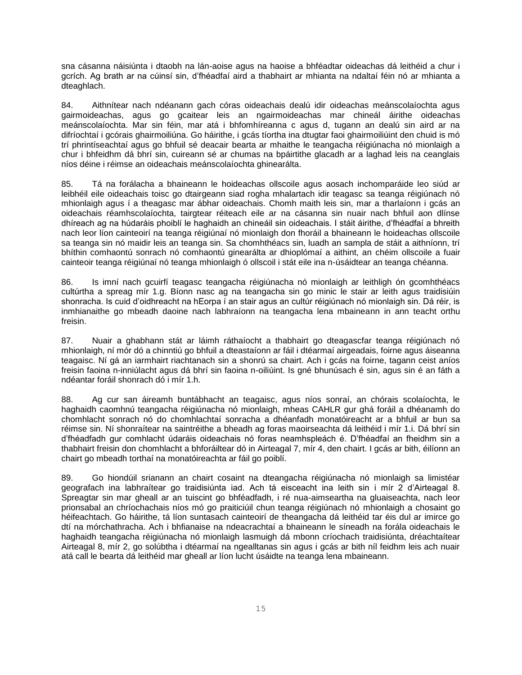sna cásanna náisiúnta i dtaobh na lán-aoise agus na haoise a bhféadtar oideachas dá leithéid a chur i gcrích. Ag brath ar na cúinsí sin, d'fhéadfaí aird a thabhairt ar mhianta na ndaltaí féin nó ar mhianta a dteaghlach.

84. Aithnítear nach ndéanann gach córas oideachais dealú idir oideachas meánscolaíochta agus gairmoideachas, agus go gcaitear leis an ngairmoideachas mar chineál áirithe oideachas meánscolaíochta. Mar sin féin, mar atá i bhfomhíreanna c agus d, tugann an dealú sin aird ar na difríochtaí i gcórais ghairmoiliúna. Go háirithe, i gcás tíortha ina dtugtar faoi ghairmoiliúint den chuid is mó trí phrintíseachtaí agus go bhfuil sé deacair bearta ar mhaithe le teangacha réigiúnacha nó mionlaigh a chur i bhfeidhm dá bhrí sin, cuireann sé ar chumas na bpáirtithe glacadh ar a laghad leis na ceanglais níos déine i réimse an oideachais meánscolaíochta ghinearálta.

85. Tá na forálacha a bhaineann le hoideachas ollscoile agus aosach inchomparáide leo siúd ar leibhéil eile oideachais toisc go dtairgeann siad rogha mhalartach idir teagasc sa teanga réigiúnach nó mhionlaigh agus í a theagasc mar ábhar oideachais. Chomh maith leis sin, mar a tharlaíonn i gcás an oideachais réamhscolaíochta, tairgtear réiteach eile ar na cásanna sin nuair nach bhfuil aon dlínse dhíreach ag na húdaráis phoiblí le haghaidh an chineáil sin oideachais. I stáit áirithe, d'fhéadfaí a bhreith nach leor líon cainteoirí na teanga réigiúnaí nó mionlaigh don fhoráil a bhaineann le hoideachas ollscoile sa teanga sin nó maidir leis an teanga sin. Sa chomhthéacs sin, luadh an sampla de stáit a aithníonn, trí bhíthin comhaontú sonrach nó comhaontú ginearálta ar dhioplómaí a aithint, an chéim ollscoile a fuair cainteoir teanga réigiúnaí nó teanga mhionlaigh ó ollscoil i stát eile ina n-úsáidtear an teanga chéanna.

86. Is imní nach gcuirfí teagasc teangacha réigiúnacha nó mionlaigh ar leithligh ón gcomhthéacs cultúrtha a spreag mír 1.g. Bíonn nasc ag na teangacha sin go minic le stair ar leith agus traidisiúin shonracha. Is cuid d'oidhreacht na hEorpa í an stair agus an cultúr réigiúnach nó mionlaigh sin. Dá réir, is inmhianaithe go mbeadh daoine nach labhraíonn na teangacha lena mbaineann in ann teacht orthu freisin.

87. Nuair a ghabhann stát ar láimh ráthaíocht a thabhairt go dteagascfar teanga réigiúnach nó mhionlaigh, ní mór dó a chinntiú go bhfuil a dteastaíonn ar fáil i dtéarmaí airgeadais, foirne agus áiseanna teagaisc. Ní gá an iarmhairt riachtanach sin a shonrú sa chairt. Ach i gcás na foirne, tagann ceist aníos freisin faoina n-inniúlacht agus dá bhrí sin faoina n-oiliúint. Is gné bhunúsach é sin, agus sin é an fáth a ndéantar foráil shonrach dó i mír 1.h.

88. Ag cur san áireamh buntábhacht an teagaisc, agus níos sonraí, an chórais scolaíochta, le haghaidh caomhnú teangacha réigiúnacha nó mionlaigh, mheas CAHLR gur ghá foráil a dhéanamh do chomhlacht sonrach nó do chomhlachtaí sonracha a dhéanfadh monatóireacht ar a bhfuil ar bun sa réimse sin. Ní shonraítear na saintréithe a bheadh ag foras maoirseachta dá leithéid i mír 1.i. Dá bhrí sin d'fhéadfadh gur comhlacht údaráis oideachais nó foras neamhspleách é. D'fhéadfaí an fheidhm sin a thabhairt freisin don chomhlacht a bhforáiltear dó in Airteagal 7, mír 4, den chairt. I gcás ar bith, éilíonn an chairt go mbeadh torthaí na monatóireachta ar fáil go poiblí.

89. Go hiondúil srianann an chairt cosaint na dteangacha réigiúnacha nó mionlaigh sa limistéar geografach ina labhraítear go traidisiúnta iad. Ach tá eisceacht ina leith sin i mír 2 d'Airteagal 8. Spreagtar sin mar gheall ar an tuiscint go bhféadfadh, i ré nua-aimseartha na gluaiseachta, nach leor prionsabal an chríochachais níos mó go praiticiúil chun teanga réigiúnach nó mhionlaigh a chosaint go héifeachtach. Go háirithe, tá líon suntasach cainteoirí de theangacha dá leithéid tar éis dul ar imirce go dtí na mórchathracha. Ach i bhfianaise na ndeacrachtaí a bhaineann le síneadh na forála oideachais le haghaidh teangacha réigiúnacha nó mionlaigh lasmuigh dá mbonn críochach traidisiúnta, dréachtaítear Airteagal 8, mír 2, go solúbtha i dtéarmaí na ngealltanas sin agus i gcás ar bith níl feidhm leis ach nuair atá call le bearta dá leithéid mar gheall ar líon lucht úsáidte na teanga lena mbaineann.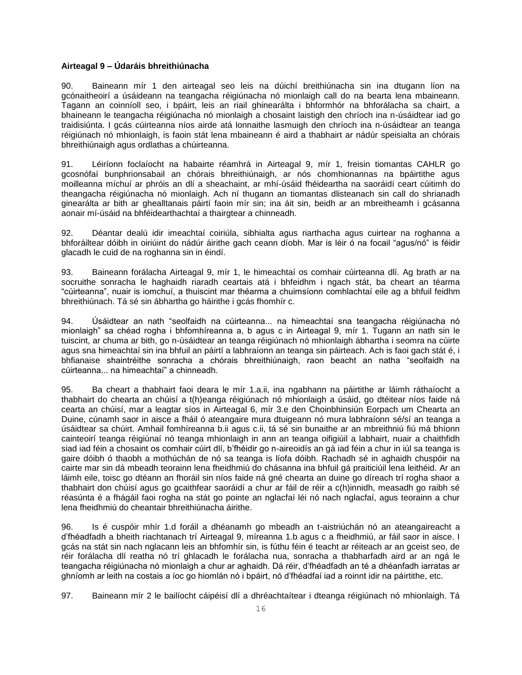### **Airteagal 9 – Údaráis bhreithiúnacha**

90. Baineann mír 1 den airteagal seo leis na dúichí breithiúnacha sin ina dtugann líon na gcónaitheoirí a úsáideann na teangacha réigiúnacha nó mionlaigh call do na bearta lena mbaineann. Tagann an coinníoll seo, i bpáirt, leis an riail ghinearálta i bhformhór na bhforálacha sa chairt, a bhaineann le teangacha réigiúnacha nó mionlaigh a chosaint laistigh den chríoch ina n-úsáidtear iad go traidisiúnta. I gcás cúirteanna níos airde atá lonnaithe lasmuigh den chríoch ina n-úsáidtear an teanga réigiúnach nó mhionlaigh, is faoin stát lena mbaineann é aird a thabhairt ar nádúr speisialta an chórais bhreithiúnaigh agus ordlathas a chúirteanna.

91. Léiríonn foclaíocht na habairte réamhrá in Airteagal 9, mír 1, freisin tiomantas CAHLR go gcosnófaí bunphrionsabail an chórais bhreithiúnaigh, ar nós chomhionannas na bpáirtithe agus moilleanna míchuí ar phróis an dlí a sheachaint, ar mhí-úsáid fhéideartha na saoráidí ceart cúitimh do theangacha réigiúnacha nó mionlaigh. Ach ní thugann an tiomantas dlisteanach sin call do shrianadh ginearálta ar bith ar ghealltanais páirtí faoin mír sin; ina áit sin, beidh ar an mbreitheamh i gcásanna aonair mí-úsáid na bhféidearthachtaí a thairgtear a chinneadh.

92. Déantar dealú idir imeachtaí coiriúla, sibhialta agus riarthacha agus cuirtear na roghanna a bhforáiltear dóibh in oiriúint do nádúr áirithe gach ceann díobh. Mar is léir ó na focail "agus/nó" is féidir glacadh le cuid de na roghanna sin in éindí.

93. Baineann forálacha Airteagal 9, mír 1, le himeachtaí os comhair cúirteanna dlí. Ag brath ar na socruithe sonracha le haghaidh riaradh ceartais atá i bhfeidhm i ngach stát, ba cheart an téarma "cúirteanna", nuair is iomchuí, a thuiscint mar théarma a chuimsíonn comhlachtaí eile ag a bhfuil feidhm bhreithiúnach. Tá sé sin ábhartha go háirithe i gcás fhomhír c.

94. Úsáidtear an nath "seolfaidh na cúirteanna... na himeachtaí sna teangacha réigiúnacha nó mionlaigh" sa chéad rogha i bhfomhíreanna a, b agus c in Airteagal 9, mír 1. Tugann an nath sin le tuiscint, ar chuma ar bith, go n-úsáidtear an teanga réigiúnach nó mhionlaigh ábhartha i seomra na cúirte agus sna himeachtaí sin ina bhfuil an páirtí a labhraíonn an teanga sin páirteach. Ach is faoi gach stát é, i bhfianaise shaintréithe sonracha a chórais bhreithiúnaigh, raon beacht an natha "seolfaidh na cúirteanna... na himeachtaí" a chinneadh.

95. Ba cheart a thabhairt faoi deara le mír 1.a.ii, ina ngabhann na páirtithe ar láimh ráthaíocht a thabhairt do chearta an chúisí a t(h)eanga réigiúnach nó mhionlaigh a úsáid, go dtéitear níos faide ná cearta an chúisí, mar a leagtar síos in Airteagal 6, mír 3.e den Choinbhinsiún Eorpach um Chearta an Duine, cúnamh saor in aisce a fháil ó ateangaire mura dtuigeann nó mura labhraíonn sé/sí an teanga a úsáidtear sa chúirt. Amhail fomhíreanna b.ii agus c.ii, tá sé sin bunaithe ar an mbreithniú fiú má bhíonn cainteoirí teanga réigiúnaí nó teanga mhionlaigh in ann an teanga oifigiúil a labhairt, nuair a chaithfidh siad iad féin a chosaint os comhair cúirt dlí, b'fhéidir go n-aireoidís an gá iad féin a chur in iúl sa teanga is gaire dóibh ó thaobh a mothúchán de nó sa teanga is líofa dóibh. Rachadh sé in aghaidh chuspóir na cairte mar sin dá mbeadh teorainn lena fheidhmiú do chásanna ina bhfuil gá praiticiúil lena leithéid. Ar an láimh eile, toisc go dtéann an fhoráil sin níos faide ná gné chearta an duine go díreach trí rogha shaor a thabhairt don chúisí agus go gcaithfear saoráidí a chur ar fáil de réir a c(h)innidh, measadh go raibh sé réasúnta é a fhágáil faoi rogha na stát go pointe an nglacfaí léi nó nach nglacfaí, agus teorainn a chur lena fheidhmiú do cheantair bhreithiúnacha áirithe.

96. Is é cuspóir mhír 1.d foráil a dhéanamh go mbeadh an t-aistriúchán nó an ateangaireacht a d'fhéadfadh a bheith riachtanach trí Airteagal 9, míreanna 1.b agus c a fheidhmiú, ar fáil saor in aisce. I gcás na stát sin nach nglacann leis an bhfomhír sin, is fúthu féin é teacht ar réiteach ar an gceist seo, de réir forálacha dlí reatha nó trí ghlacadh le forálacha nua, sonracha a thabharfadh aird ar an ngá le teangacha réigiúnacha nó mionlaigh a chur ar aghaidh. Dá réir, d'fhéadfadh an té a dhéanfadh iarratas ar ghníomh ar leith na costais a íoc go hiomlán nó i bpáirt, nó d'fhéadfaí iad a roinnt idir na páirtithe, etc.

97. Baineann mír 2 le bailíocht cáipéisí dlí a dhréachtaítear i dteanga réigiúnach nó mhionlaigh. Tá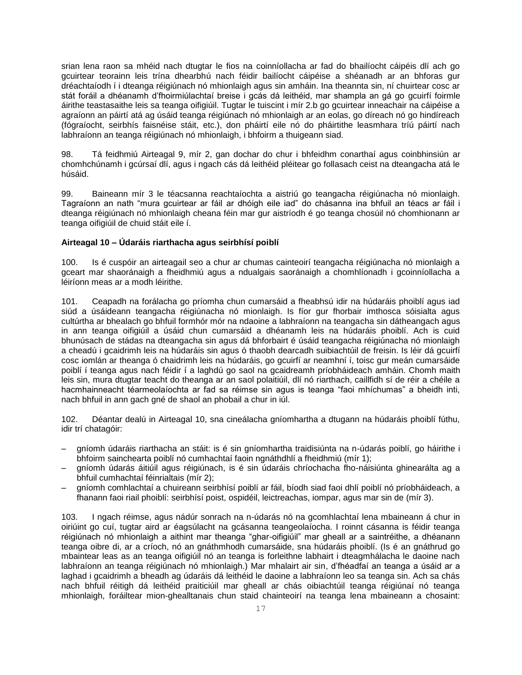srian lena raon sa mhéid nach dtugtar le fios na coinníollacha ar fad do bhailíocht cáipéis dlí ach go gcuirtear teorainn leis trína dhearbhú nach féidir bailíocht cáipéise a shéanadh ar an bhforas gur dréachtaíodh í i dteanga réigiúnach nó mhionlaigh agus sin amháin. Ina theannta sin, ní chuirtear cosc ar stát foráil a dhéanamh d'fhoirmiúlachtaí breise i gcás dá leithéid, mar shampla an gá go gcuirfí foirmle áirithe teastasaithe leis sa teanga oifigiúil. Tugtar le tuiscint i mír 2.b go gcuirtear inneachair na cáipéise a agraíonn an páirtí atá ag úsáid teanga réigiúnach nó mhionlaigh ar an eolas, go díreach nó go hindíreach (fógraíocht, seirbhís faisnéise stáit, etc.), don pháirtí eile nó do pháirtithe leasmhara tríú páirtí nach labhraíonn an teanga réigiúnach nó mhionlaigh, i bhfoirm a thuigeann siad.

98. Tá feidhmiú Airteagal 9, mír 2, gan dochar do chur i bhfeidhm conarthaí agus coinbhinsiún ar chomhchúnamh i gcúrsaí dlí, agus i ngach cás dá leithéid pléitear go follasach ceist na dteangacha atá le húsáid.

99. Baineann mír 3 le téacsanna reachtaíochta a aistriú go teangacha réigiúnacha nó mionlaigh. Tagraíonn an nath "mura gcuirtear ar fáil ar dhóigh eile iad" do chásanna ina bhfuil an téacs ar fáil i dteanga réigiúnach nó mhionlaigh cheana féin mar gur aistríodh é go teanga chosúil nó chomhionann ar teanga oifigiúil de chuid stáit eile í.

### **Airteagal 10 – Údaráis riarthacha agus seirbhísí poiblí**

100. Is é cuspóir an airteagail seo a chur ar chumas cainteoirí teangacha réigiúnacha nó mionlaigh a gceart mar shaoránaigh a fheidhmiú agus a ndualgais saoránaigh a chomhlíonadh i gcoinníollacha a léiríonn meas ar a modh léirithe.

101. Ceapadh na forálacha go príomha chun cumarsáid a fheabhsú idir na húdaráis phoiblí agus iad siúd a úsáideann teangacha réigiúnacha nó mionlaigh. Is fíor gur fhorbair imthosca sóisialta agus cultúrtha ar bhealach go bhfuil formhór mór na ndaoine a labhraíonn na teangacha sin dátheangach agus in ann teanga oifigiúil a úsáid chun cumarsáid a dhéanamh leis na húdaráis phoiblí. Ach is cuid bhunúsach de stádas na dteangacha sin agus dá bhforbairt é úsáid teangacha réigiúnacha nó mionlaigh a cheadú i gcaidrimh leis na húdaráis sin agus ó thaobh dearcadh suibiachtúil de freisin. Is léir dá gcuirfí cosc iomlán ar theanga ó chaidrimh leis na húdaráis, go gcuirfí ar neamhní í, toisc gur meán cumarsáide poiblí í teanga agus nach féidir í a laghdú go saol na gcaidreamh príobháideach amháin. Chomh maith leis sin, mura dtugtar teacht do theanga ar an saol polaitiúil, dlí nó riarthach, caillfidh sí de réir a chéile a hacmhainneacht téarmeolaíochta ar fad sa réimse sin agus is teanga "faoi mhíchumas" a bheidh inti, nach bhfuil in ann gach gné de shaol an phobail a chur in iúl.

102. Déantar dealú in Airteagal 10, sna cineálacha gníomhartha a dtugann na húdaráis phoiblí fúthu, idir trí chatagóir:

- gníomh údaráis riarthacha an stáit: is é sin gníomhartha traidisiúnta na n-údarás poiblí, go háirithe i bhfoirm sainchearta poiblí nó cumhachtaí faoin ngnáthdhlí a fheidhmiú (mír 1);
- gníomh údarás áitiúil agus réigiúnach, is é sin údaráis chríochacha fho-náisiúnta ghinearálta ag a bhfuil cumhachtaí féinrialtais (mír 2);
- gníomh comhlachtaí a chuireann seirbhísí poiblí ar fáil, bíodh siad faoi dhlí poiblí nó príobháideach, a fhanann faoi riail phoiblí: seirbhísí poist, ospidéil, leictreachas, iompar, agus mar sin de (mír 3).

103. I ngach réimse, agus nádúr sonrach na n-údarás nó na gcomhlachtaí lena mbaineann á chur in oiriúint go cuí, tugtar aird ar éagsúlacht na gcásanna teangeolaíocha. I roinnt cásanna is féidir teanga réigiúnach nó mhionlaigh a aithint mar theanga "ghar-oifigiúil" mar gheall ar a saintréithe, a dhéanann teanga oibre di, ar a críoch, nó an gnáthmhodh cumarsáide, sna húdaráis phoiblí. (Is é an gnáthrud go mbaintear leas as an teanga oifigiúil nó an teanga is forleithne labhairt i dteagmhálacha le daoine nach labhraíonn an teanga réigiúnach nó mhionlaigh.) Mar mhalairt air sin, d'fhéadfaí an teanga a úsáid ar a laghad i gcaidrimh a bheadh ag údaráis dá leithéid le daoine a labhraíonn leo sa teanga sin. Ach sa chás nach bhfuil réitigh dá leithéid praiticiúil mar gheall ar chás oibiachtúil teanga réigiúnaí nó teanga mhionlaigh, foráiltear mion-ghealltanais chun staid chainteoirí na teanga lena mbaineann a chosaint: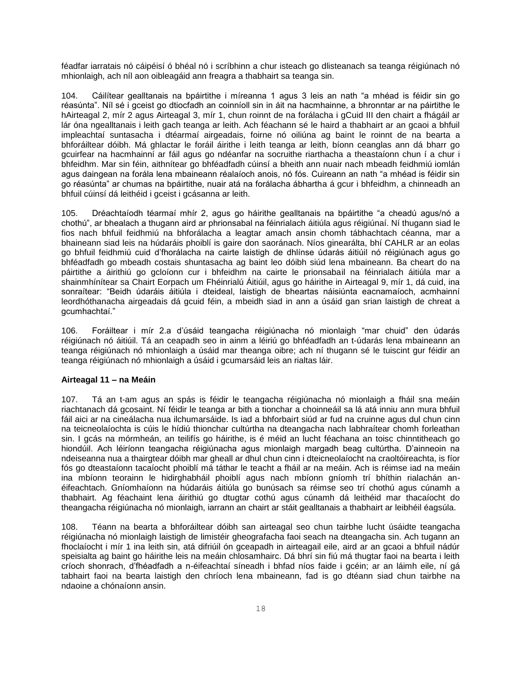féadfar iarratais nó cáipéisí ó bhéal nó i scríbhinn a chur isteach go dlisteanach sa teanga réigiúnach nó mhionlaigh, ach níl aon oibleagáid ann freagra a thabhairt sa teanga sin.

104. Cáilítear gealltanais na bpáirtithe i míreanna 1 agus 3 leis an nath "a mhéad is féidir sin go réasúnta". Níl sé i gceist go dtiocfadh an coinníoll sin in áit na hacmhainne, a bhronntar ar na páirtithe le hAirteagal 2, mír 2 agus Airteagal 3, mír 1, chun roinnt de na forálacha i gCuid III den chairt a fhágáil ar lár óna ngealltanais i leith gach teanga ar leith. Ach féachann sé le haird a thabhairt ar an gcaoi a bhfuil impleachtaí suntasacha i dtéarmaí airgeadais, foirne nó oiliúna ag baint le roinnt de na bearta a bhforáiltear dóibh. Má ghlactar le foráil áirithe i leith teanga ar leith, bíonn ceanglas ann dá bharr go gcuirfear na hacmhainní ar fáil agus go ndéanfar na socruithe riarthacha a theastaíonn chun í a chur i bhfeidhm. Mar sin féin, aithnítear go bhféadfadh cúinsí a bheith ann nuair nach mbeadh feidhmiú iomlán agus daingean na forála lena mbaineann réalaíoch anois, nó fós. Cuireann an nath "a mhéad is féidir sin go réasúnta" ar chumas na bpáirtithe, nuair atá na forálacha ábhartha á gcur i bhfeidhm, a chinneadh an bhfuil cúinsí dá leithéid i gceist i gcásanna ar leith.

105. Dréachtaíodh téarmaí mhír 2, agus go háirithe gealltanais na bpáirtithe "a cheadú agus/nó a chothú", ar bhealach a thugann aird ar phrionsabal na féinrialach áitiúla agus réigiúnaí. Ní thugann siad le fios nach bhfuil feidhmiú na bhforálacha a leagtar amach ansin chomh tábhachtach céanna, mar a bhaineann siad leis na húdaráis phoiblí is gaire don saoránach. Níos ginearálta, bhí CAHLR ar an eolas go bhfuil feidhmiú cuid d'fhorálacha na cairte laistigh de dhlínse údarás áitiúil nó réigiúnach agus go bhféadfadh go mbeadh costais shuntasacha ag baint leo dóibh siúd lena mbaineann. Ba cheart do na páirtithe a áirithiú go gcloíonn cur i bhfeidhm na cairte le prionsabail na féinrialach áitiúla mar a shainmhínítear sa Chairt Eorpach um Fhéinrialú Áitiúil, agus go háirithe in Airteagal 9, mír 1, dá cuid, ina sonraítear: "Beidh údaráis áitiúla i dteideal, laistigh de bheartas náisiúnta eacnamaíoch, acmhainní leordhóthanacha airgeadais dá gcuid féin, a mbeidh siad in ann a úsáid gan srian laistigh de chreat a gcumhachtaí."

106. Foráiltear i mír 2.a d'úsáid teangacha réigiúnacha nó mionlaigh "mar chuid" den údarás réigiúnach nó áitiúil. Tá an ceapadh seo in ainm a léiriú go bhféadfadh an t-údarás lena mbaineann an teanga réigiúnach nó mhionlaigh a úsáid mar theanga oibre; ach ní thugann sé le tuiscint gur féidir an teanga réigiúnach nó mhionlaigh a úsáid i gcumarsáid leis an rialtas láir.

### **Airteagal 11 – na Meáin**

107. Tá an t-am agus an spás is féidir le teangacha réigiúnacha nó mionlaigh a fháil sna meáin riachtanach dá gcosaint. Ní féidir le teanga ar bith a tionchar a choinneáil sa lá atá inniu ann mura bhfuil fáil aici ar na cineálacha nua ilchumarsáide. Is iad a bhforbairt siúd ar fud na cruinne agus dul chun cinn na teicneolaíochta is cúis le hídiú thionchar cultúrtha na dteangacha nach labhraítear chomh forleathan sin. I gcás na mórmheán, an teilifís go háirithe, is é méid an lucht féachana an toisc chinntitheach go hiondúil. Ach léiríonn teangacha réigiúnacha agus mionlaigh margadh beag cultúrtha. D'ainneoin na ndeiseanna nua a thairgtear dóibh mar gheall ar dhul chun cinn i dteicneolaíocht na craoltóireachta, is fíor fós go dteastaíonn tacaíocht phoiblí má táthar le teacht a fháil ar na meáin. Ach is réimse iad na meáin ina mbíonn teorainn le hidirghabháil phoiblí agus nach mbíonn gníomh trí bhíthin rialachán anéifeachtach. Gníomhaíonn na húdaráis áitiúla go bunúsach sa réimse seo trí chothú agus cúnamh a thabhairt. Ag féachaint lena áirithiú go dtugtar cothú agus cúnamh dá leithéid mar thacaíocht do theangacha réigiúnacha nó mionlaigh, iarrann an chairt ar stáit gealltanais a thabhairt ar leibhéil éagsúla.

108. Téann na bearta a bhforáiltear dóibh san airteagal seo chun tairbhe lucht úsáidte teangacha réigiúnacha nó mionlaigh laistigh de limistéir gheografacha faoi seach na dteangacha sin. Ach tugann an fhoclaíocht i mír 1 ina leith sin, atá difriúil ón gceapadh in airteagail eile, aird ar an gcaoi a bhfuil nádúr speisialta ag baint go háirithe leis na meáin chlosamhairc. Dá bhrí sin fiú má thugtar faoi na bearta i leith críoch shonrach, d'fhéadfadh a n-éifeachtaí síneadh i bhfad níos faide i gcéin; ar an láimh eile, ní gá tabhairt faoi na bearta laistigh den chríoch lena mbaineann, fad is go dtéann siad chun tairbhe na ndaoine a chónaíonn ansin.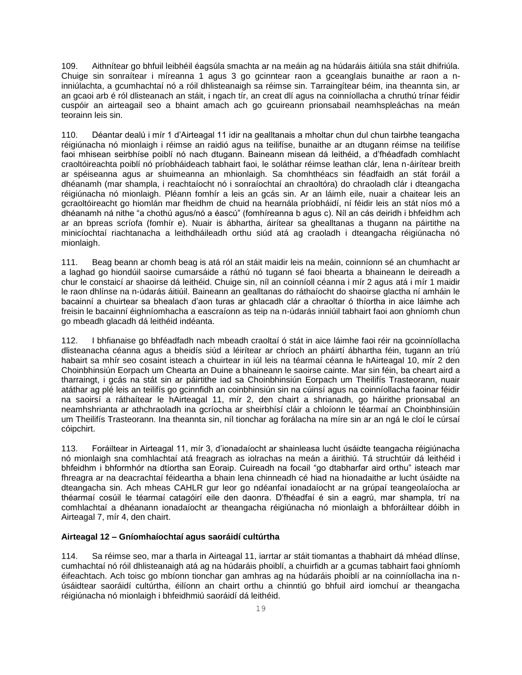109. Aithnítear go bhfuil leibhéil éagsúla smachta ar na meáin ag na húdaráis áitiúla sna stáit dhifriúla. Chuige sin sonraítear i míreanna 1 agus 3 go gcinntear raon a gceanglais bunaithe ar raon a ninniúlachta, a gcumhachtaí nó a róil dhlisteanaigh sa réimse sin. Tarraingítear béim, ina theannta sin, ar an gcaoi arb é ról dlisteanach an stáit, i ngach tír, an creat dlí agus na coinníollacha a chruthú trínar féidir cuspóir an airteagail seo a bhaint amach ach go gcuireann prionsabail neamhspleáchas na meán teorainn leis sin.

110. Déantar dealú i mír 1 d'Airteagal 11 idir na gealltanais a mholtar chun dul chun tairbhe teangacha réigiúnacha nó mionlaigh i réimse an raidió agus na teilifíse, bunaithe ar an dtugann réimse na teilifíse faoi mhisean seirbhíse poiblí nó nach dtugann. Baineann misean dá leithéid, a d'fhéadfadh comhlacht craoltóireachta poiblí nó príobháideach tabhairt faoi, le soláthar réimse leathan clár, lena n-áirítear breith ar spéiseanna agus ar shuimeanna an mhionlaigh. Sa chomhthéacs sin féadfaidh an stát foráil a dhéanamh (mar shampla, i reachtaíocht nó i sonraíochtaí an chraoltóra) do chraoladh clár i dteangacha réigiúnacha nó mionlaigh. Pléann fomhír a leis an gcás sin. Ar an láimh eile, nuair a chaitear leis an gcraoltóireacht go hiomlán mar fheidhm de chuid na hearnála príobháidí, ní féidir leis an stát níos mó a dhéanamh ná nithe "a chothú agus/nó a éascú" (fomhíreanna b agus c). Níl an cás deiridh i bhfeidhm ach ar an bpreas scríofa (fomhír e). Nuair is ábhartha, áirítear sa ghealltanas a thugann na páirtithe na minicíochtaí riachtanacha a leithdháileadh orthu siúd atá ag craoladh i dteangacha réigiúnacha nó mionlaigh.

111. Beag beann ar chomh beag is atá ról an stáit maidir leis na meáin, coinníonn sé an chumhacht ar a laghad go hiondúil saoirse cumarsáide a ráthú nó tugann sé faoi bhearta a bhaineann le deireadh a chur le constaicí ar shaoirse dá leithéid. Chuige sin, níl an coinníoll céanna i mír 2 agus atá i mír 1 maidir le raon dhlínse na n-údarás áitiúil. Baineann an gealltanas do ráthaíocht do shaoirse glactha ní amháin le bacainní a chuirtear sa bhealach d'aon turas ar ghlacadh clár a chraoltar ó thíortha in aice láimhe ach freisin le bacainní éighníomhacha a eascraíonn as teip na n-údarás inniúil tabhairt faoi aon ghníomh chun go mbeadh glacadh dá leithéid indéanta.

112. I bhfianaise go bhféadfadh nach mbeadh craoltaí ó stát in aice láimhe faoi réir na gcoinníollacha dlisteanacha céanna agus a bheidís siúd a léirítear ar chríoch an pháirtí ábhartha féin, tugann an tríú habairt sa mhír seo cosaint isteach a chuirtear in iúl leis na téarmaí céanna le hAirteagal 10, mír 2 den Choinbhinsiún Eorpach um Chearta an Duine a bhaineann le saoirse cainte. Mar sin féin, ba cheart aird a tharraingt, i gcás na stát sin ar páirtithe iad sa Choinbhinsiún Eorpach um Theilifís Trasteorann, nuair atáthar ag plé leis an teilifís go gcinnfidh an coinbhinsiún sin na cúinsí agus na coinníollacha faoinar féidir na saoirsí a ráthaítear le hAirteagal 11, mír 2, den chairt a shrianadh, go háirithe prionsabal an neamhshrianta ar athchraoladh ina gcríocha ar sheirbhísí cláir a chloíonn le téarmaí an Choinbhinsiúin um Theilifís Trasteorann. Ina theannta sin, níl tionchar ag forálacha na míre sin ar an ngá le cloí le cúrsaí cóipchirt.

113. Foráiltear in Airteagal 11, mír 3, d'ionadaíocht ar shainleasa lucht úsáidte teangacha réigiúnacha nó mionlaigh sna comhlachtaí atá freagrach as iolrachas na meán a áirithiú. Tá struchtúir dá leithéid i bhfeidhm i bhformhór na dtíortha san Eoraip. Cuireadh na focail "go dtabharfar aird orthu" isteach mar fhreagra ar na deacrachtaí féideartha a bhain lena chinneadh cé hiad na hionadaithe ar lucht úsáidte na dteangacha sin. Ach mheas CAHLR gur leor go ndéanfaí ionadaíocht ar na grúpaí teangeolaíocha ar théarmaí cosúil le téarmaí catagóirí eile den daonra. D'fhéadfaí é sin a eagrú, mar shampla, trí na comhlachtaí a dhéanann ionadaíocht ar theangacha réigiúnacha nó mionlaigh a bhforáiltear dóibh in Airteagal 7, mír 4, den chairt.

### **Airteagal 12 – Gníomhaíochtaí agus saoráidí cultúrtha**

114. Sa réimse seo, mar a tharla in Airteagal 11, iarrtar ar stáit tiomantas a thabhairt dá mhéad dlínse, cumhachtaí nó róil dhlisteanaigh atá ag na húdaráis phoiblí, a chuirfidh ar a gcumas tabhairt faoi ghníomh éifeachtach. Ach toisc go mbíonn tionchar gan amhras ag na húdaráis phoiblí ar na coinníollacha ina núsáidtear saoráidí cultúrtha, éilíonn an chairt orthu a chinntiú go bhfuil aird iomchuí ar theangacha réigiúnacha nó mionlaigh i bhfeidhmiú saoráidí dá leithéid.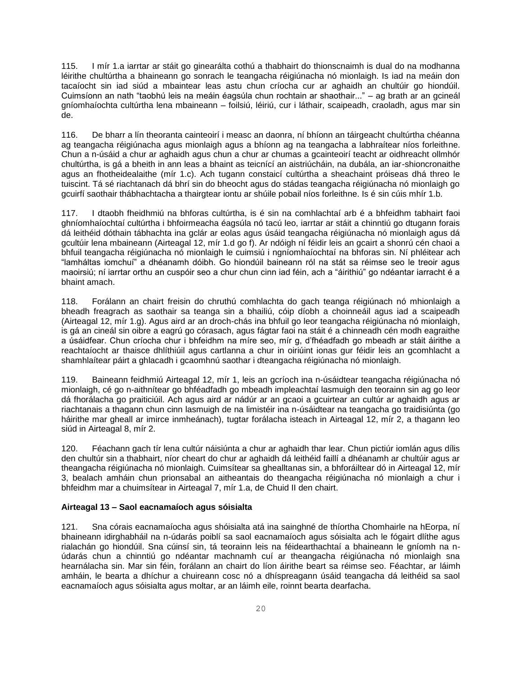115. I mír 1.a iarrtar ar stáit go ginearálta cothú a thabhairt do thionscnaimh is dual do na modhanna léirithe chultúrtha a bhaineann go sonrach le teangacha réigiúnacha nó mionlaigh. Is iad na meáin don tacaíocht sin iad siúd a mbaintear leas astu chun críocha cur ar aghaidh an chultúir go hiondúil. Cuimsíonn an nath "taobhú leis na meáin éagsúla chun rochtain ar shaothair..." – ag brath ar an gcineál gníomhaíochta cultúrtha lena mbaineann – foilsiú, léiriú, cur i láthair, scaipeadh, craoladh, agus mar sin de.

116. De bharr a lín theoranta cainteoirí i measc an daonra, ní bhíonn an táirgeacht chultúrtha chéanna ag teangacha réigiúnacha agus mionlaigh agus a bhíonn ag na teangacha a labhraítear níos forleithne. Chun a n-úsáid a chur ar aghaidh agus chun a chur ar chumas a gcainteoirí teacht ar oidhreacht ollmhór chultúrtha, is gá a bheith in ann leas a bhaint as teicnící an aistriúcháin, na dubála, an iar-shioncronaithe agus an fhotheidealaithe (mír 1.c). Ach tugann constaicí cultúrtha a sheachaint próiseas dhá threo le tuiscint. Tá sé riachtanach dá bhrí sin do bheocht agus do stádas teangacha réigiúnacha nó mionlaigh go gcuirfí saothair thábhachtacha a thairgtear iontu ar shúile pobail níos forleithne. Is é sin cúis mhír 1.b.

117. I dtaobh fheidhmiú na bhforas cultúrtha, is é sin na comhlachtaí arb é a bhfeidhm tabhairt faoi ghníomhaíochtaí cultúrtha i bhfoirmeacha éagsúla nó tacú leo, iarrtar ar stáit a chinntiú go dtugann forais dá leithéid dóthain tábhachta ina gclár ar eolas agus úsáid teangacha réigiúnacha nó mionlaigh agus dá gcultúir lena mbaineann (Airteagal 12, mír 1.d go f). Ar ndóigh ní féidir leis an gcairt a shonrú cén chaoi a bhfuil teangacha réigiúnacha nó mionlaigh le cuimsiú i ngníomhaíochtaí na bhforas sin. Ní phléitear ach "lamháltas iomchuí" a dhéanamh dóibh. Go hiondúil baineann ról na stát sa réimse seo le treoir agus maoirsiú; ní iarrtar orthu an cuspóir seo a chur chun cinn iad féin, ach a "áirithiú" go ndéantar iarracht é a bhaint amach.

118. Forálann an chairt freisin do chruthú comhlachta do gach teanga réigiúnach nó mhionlaigh a bheadh freagrach as saothair sa teanga sin a bhailiú, cóip díobh a choinneáil agus iad a scaipeadh (Airteagal 12, mír 1.g). Agus aird ar an droch-chás ina bhfuil go leor teangacha réigiúnacha nó mionlaigh, is gá an cineál sin oibre a eagrú go córasach, agus fágtar faoi na stáit é a chinneadh cén modh eagraithe a úsáidfear. Chun críocha chur i bhfeidhm na míre seo, mír g, d'fhéadfadh go mbeadh ar stáit áirithe a reachtaíocht ar thaisce dhlíthiúil agus cartlanna a chur in oiriúint ionas gur féidir leis an gcomhlacht a shamhlaítear páirt a ghlacadh i gcaomhnú saothar i dteangacha réigiúnacha nó mionlaigh.

119. Baineann feidhmiú Airteagal 12, mír 1, leis an gcríoch ina n-úsáidtear teangacha réigiúnacha nó mionlaigh, cé go n-aithnítear go bhféadfadh go mbeadh impleachtaí lasmuigh den teorainn sin ag go leor dá fhorálacha go praiticiúil. Ach agus aird ar nádúr ar an gcaoi a gcuirtear an cultúr ar aghaidh agus ar riachtanais a thagann chun cinn lasmuigh de na limistéir ina n-úsáidtear na teangacha go traidisiúnta (go háirithe mar gheall ar imirce inmheánach), tugtar forálacha isteach in Airteagal 12, mír 2, a thagann leo siúd in Airteagal 8, mír 2.

120. Féachann gach tír lena cultúr náisiúnta a chur ar aghaidh thar lear. Chun pictiúr iomlán agus dílis den chultúr sin a thabhairt, níor cheart do chur ar aghaidh dá leithéid faillí a dhéanamh ar chultúir agus ar theangacha réigiúnacha nó mionlaigh. Cuimsítear sa ghealltanas sin, a bhforáiltear dó in Airteagal 12, mír 3, bealach amháin chun prionsabal an aitheantais do theangacha réigiúnacha nó mionlaigh a chur i bhfeidhm mar a chuimsítear in Airteagal 7, mír 1.a, de Chuid II den chairt.

### **Airteagal 13 – Saol eacnamaíoch agus sóisialta**

121. Sna córais eacnamaíocha agus shóisialta atá ina sainghné de thíortha Chomhairle na hEorpa, ní bhaineann idirghabháil na n-údarás poiblí sa saol eacnamaíoch agus sóisialta ach le fógairt dlíthe agus rialachán go hiondúil. Sna cúinsí sin, tá teorainn leis na féidearthachtaí a bhaineann le gníomh na núdarás chun a chinntiú go ndéantar machnamh cuí ar theangacha réigiúnacha nó mionlaigh sna hearnálacha sin. Mar sin féin, forálann an chairt do líon áirithe beart sa réimse seo. Féachtar, ar láimh amháin, le bearta a dhíchur a chuireann cosc nó a dhíspreagann úsáid teangacha dá leithéid sa saol eacnamaíoch agus sóisialta agus moltar, ar an láimh eile, roinnt bearta dearfacha.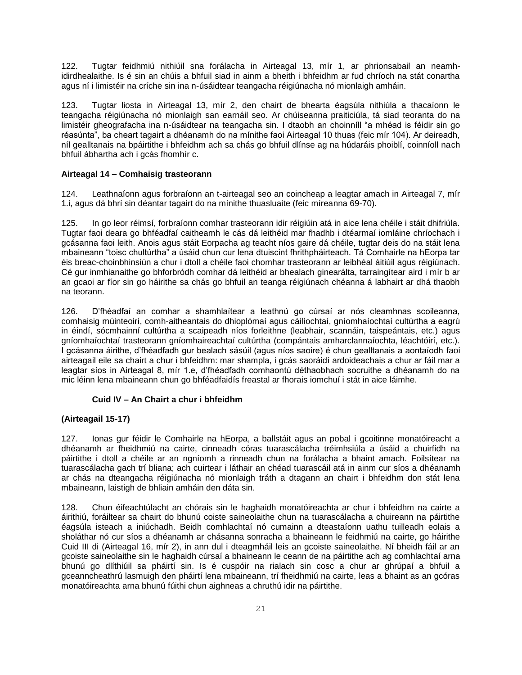122. Tugtar feidhmiú nithiúil sna forálacha in Airteagal 13, mír 1, ar phrionsabail an neamhidirdhealaithe. Is é sin an chúis a bhfuil siad in ainm a bheith i bhfeidhm ar fud chríoch na stát conartha agus ní i limistéir na críche sin ina n-úsáidtear teangacha réigiúnacha nó mionlaigh amháin.

123. Tugtar liosta in Airteagal 13, mír 2, den chairt de bhearta éagsúla nithiúla a thacaíonn le teangacha réigiúnacha nó mionlaigh san earnáil seo. Ar chúiseanna praiticiúla, tá siad teoranta do na limistéir gheografacha ina n-úsáidtear na teangacha sin. I dtaobh an choinníll "a mhéad is féidir sin go réasúnta", ba cheart tagairt a dhéanamh do na mínithe faoi Airteagal 10 thuas (feic mír 104). Ar deireadh, níl gealltanais na bpáirtithe i bhfeidhm ach sa chás go bhfuil dlínse ag na húdaráis phoiblí, coinníoll nach bhfuil ábhartha ach i gcás fhomhír c.

# **Airteagal 14 – Comhaisig trasteorann**

124. Leathnaíonn agus forbraíonn an t-airteagal seo an coincheap a leagtar amach in Airteagal 7, mír 1.i, agus dá bhrí sin déantar tagairt do na mínithe thuasluaite (feic míreanna 69-70).

125. In go leor réimsí, forbraíonn comhar trasteorann idir réigiúin atá in aice lena chéile i stáit dhifriúla. Tugtar faoi deara go bhféadfaí caitheamh le cás dá leithéid mar fhadhb i dtéarmaí iomláine chríochach i gcásanna faoi leith. Anois agus stáit Eorpacha ag teacht níos gaire dá chéile, tugtar deis do na stáit lena mbaineann "toisc chultúrtha" a úsáid chun cur lena dtuiscint fhrithpháirteach. Tá Comhairle na hEorpa tar éis breac-choinbhinsiún a chur i dtoll a chéile faoi chomhar trasteorann ar leibhéal áitiúil agus réigiúnach. Cé gur inmhianaithe go bhforbródh comhar dá leithéid ar bhealach ginearálta, tarraingítear aird i mír b ar an gcaoi ar fíor sin go háirithe sa chás go bhfuil an teanga réigiúnach chéanna á labhairt ar dhá thaobh na teorann.

126. D'fhéadfaí an comhar a shamhlaítear a leathnú go cúrsaí ar nós cleamhnas scoileanna, comhaisig múinteoirí, comh-aitheantais do dhioplómaí agus cáilíochtaí, gníomhaíochtaí cultúrtha a eagrú in éindí, sócmhainní cultúrtha a scaipeadh níos forleithne (leabhair, scannáin, taispeántais, etc.) agus gníomhaíochtaí trasteorann gníomhaireachtaí cultúrtha (compántais amharclannaíochta, léachtóirí, etc.). I gcásanna áirithe, d'fhéadfadh gur bealach sásúil (agus níos saoire) é chun gealltanais a aontaíodh faoi airteagail eile sa chairt a chur i bhfeidhm: mar shampla, i gcás saoráidí ardoideachais a chur ar fáil mar a leagtar síos in Airteagal 8, mír 1.e, d'fhéadfadh comhaontú déthaobhach socruithe a dhéanamh do na mic léinn lena mbaineann chun go bhféadfaidís freastal ar fhorais iomchuí i stát in aice láimhe.

### **Cuid IV – An Chairt a chur i bhfeidhm**

### **(Airteagail 15-17)**

127. Ionas gur féidir le Comhairle na hEorpa, a ballstáit agus an pobal i gcoitinne monatóireacht a dhéanamh ar fheidhmiú na cairte, cinneadh córas tuarascálacha tréimhsiúla a úsáid a chuirfidh na páirtithe i dtoll a chéile ar an ngníomh a rinneadh chun na forálacha a bhaint amach. Foilsítear na tuarascálacha gach trí bliana; ach cuirtear i láthair an chéad tuarascáil atá in ainm cur síos a dhéanamh ar chás na dteangacha réigiúnacha nó mionlaigh tráth a dtagann an chairt i bhfeidhm don stát lena mbaineann, laistigh de bhliain amháin den dáta sin.

128. Chun éifeachtúlacht an chórais sin le haghaidh monatóireachta ar chur i bhfeidhm na cairte a áirithiú, foráiltear sa chairt do bhunú coiste saineolaithe chun na tuarascálacha a chuireann na páirtithe éagsúla isteach a iniúchadh. Beidh comhlachtaí nó cumainn a dteastaíonn uathu tuilleadh eolais a sholáthar nó cur síos a dhéanamh ar chásanna sonracha a bhaineann le feidhmiú na cairte, go háirithe Cuid III di (Airteagal 16, mír 2), in ann dul i dteagmháil leis an gcoiste saineolaithe. Ní bheidh fáil ar an gcoiste saineolaithe sin le haghaidh cúrsaí a bhaineann le ceann de na páirtithe ach ag comhlachtaí arna bhunú go dlíthiúil sa pháirtí sin. Is é cuspóir na rialach sin cosc a chur ar ghrúpaí a bhfuil a gceanncheathrú lasmuigh den pháirtí lena mbaineann, trí fheidhmiú na cairte, leas a bhaint as an gcóras monatóireachta arna bhunú fúithi chun aighneas a chruthú idir na páirtithe.